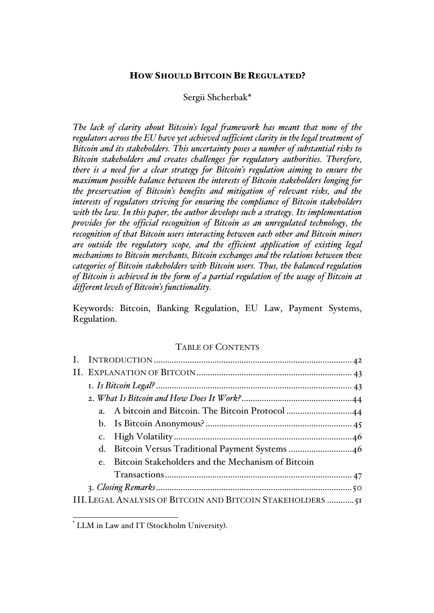## HOW SHOULD BITCOIN BE REGULATED?

## Sergii Shcherbak\*

*The lack of clarity about Bitcoin's legal framework has meant that none of the regulators across the EU have yet achieved sufficient clarity in the legal treatment of Bitcoin and its stakeholders. This uncertainty poses a number of substantial risks to Bitcoin stakeholders and creates challenges for regulatory authorities. Therefore, there is a need for a clear strategy for Bitcoin's regulation aiming to ensure the maximum possible balance between the interests of Bitcoin stakeholders longing for the preservation of Bitcoin's benefits and mitigation of relevant risks, and the interests of regulators striving for ensuring the compliance of Bitcoin stakeholders with the law. In this paper, the author develops such a strategy. Its implementation provides for the official recognition of Bitcoin as an unregulated technology, the recognition of that Bitcoin users interacting between each other and Bitcoin miners are outside the regulatory scope, and the efficient application of existing legal mechanisms to Bitcoin merchants, Bitcoin exchanges and the relations between these categories of Bitcoin stakeholders with Bitcoin users. Thus, the balanced regulation of Bitcoin is achieved in the form of a partial regulation of the usage of Bitcoin at different levels of Bitcoin's functionality.*

Keywords: Bitcoin, Banking Regulation, EU Law, Payment Systems, Regulation.

### TABLE OF CONTENTS

|  | $e_{\cdot}$ | Bitcoin Stakeholders and the Mechanism of Bitcoin           |  |
|--|-------------|-------------------------------------------------------------|--|
|  |             |                                                             |  |
|  |             |                                                             |  |
|  |             | III. LEGAL ANALYSIS OF BITCOIN AND BITCOIN STAKEHOLDERS  51 |  |

 <sup>\*</sup> LLM in Law and IT (Stockholm University).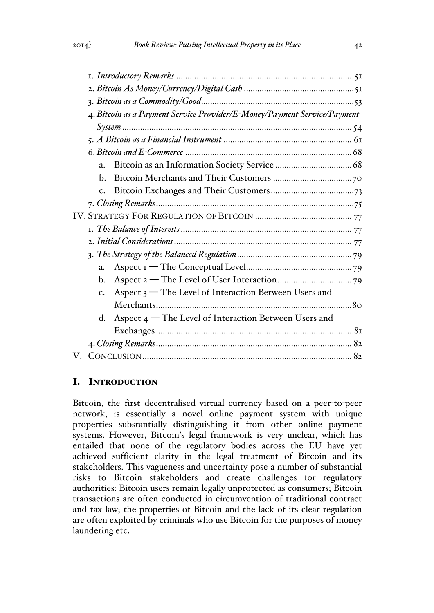|  | 4. Bitcoin as a Payment Service Provider/E-Money/Payment Service/Payment |  |  |  |
|--|--------------------------------------------------------------------------|--|--|--|
|  |                                                                          |  |  |  |
|  |                                                                          |  |  |  |
|  |                                                                          |  |  |  |
|  | $a_{\cdot}$                                                              |  |  |  |
|  | $\mathbf{b}$ .                                                           |  |  |  |
|  |                                                                          |  |  |  |
|  |                                                                          |  |  |  |
|  |                                                                          |  |  |  |
|  |                                                                          |  |  |  |
|  |                                                                          |  |  |  |
|  |                                                                          |  |  |  |
|  | $a_{\cdot}$                                                              |  |  |  |
|  | $\mathbf{b}$ .                                                           |  |  |  |
|  | Aspect 3 – The Level of Interaction Between Users and<br>$\mathbf{c}$ .  |  |  |  |
|  |                                                                          |  |  |  |
|  | Aspect 4 – The Level of Interaction Between Users and<br>d.              |  |  |  |
|  |                                                                          |  |  |  |
|  |                                                                          |  |  |  |
|  |                                                                          |  |  |  |
|  |                                                                          |  |  |  |

# I. INTRODUCTION

Bitcoin, the first decentralised virtual currency based on a peer-to-peer network, is essentially a novel online payment system with unique properties substantially distinguishing it from other online payment systems. However, Bitcoin's legal framework is very unclear, which has entailed that none of the regulatory bodies across the EU have yet achieved sufficient clarity in the legal treatment of Bitcoin and its stakeholders. This vagueness and uncertainty pose a number of substantial risks to Bitcoin stakeholders and create challenges for regulatory authorities: Bitcoin users remain legally unprotected as consumers; Bitcoin transactions are often conducted in circumvention of traditional contract and tax law; the properties of Bitcoin and the lack of its clear regulation are often exploited by criminals who use Bitcoin for the purposes of money laundering etc.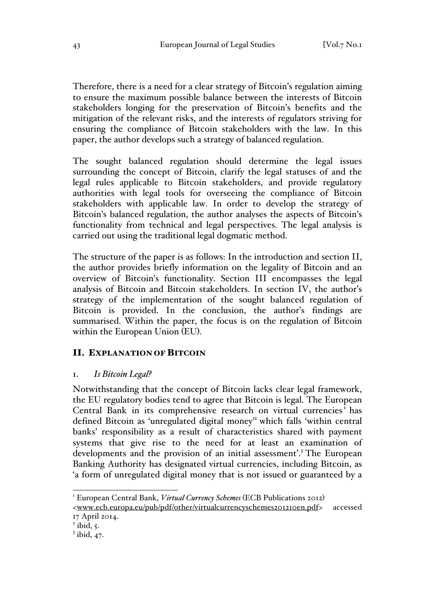Therefore, there is a need for a clear strategy of Bitcoin's regulation aiming to ensure the maximum possible balance between the interests of Bitcoin stakeholders longing for the preservation of Bitcoin's benefits and the mitigation of the relevant risks, and the interests of regulators striving for ensuring the compliance of Bitcoin stakeholders with the law. In this paper, the author develops such a strategy of balanced regulation.

The sought balanced regulation should determine the legal issues surrounding the concept of Bitcoin, clarify the legal statuses of and the legal rules applicable to Bitcoin stakeholders, and provide regulatory authorities with legal tools for overseeing the compliance of Bitcoin stakeholders with applicable law. In order to develop the strategy of Bitcoin's balanced regulation, the author analyses the aspects of Bitcoin's functionality from technical and legal perspectives. The legal analysis is carried out using the traditional legal dogmatic method.

The structure of the paper is as follows: In the introduction and section II, the author provides briefly information on the legality of Bitcoin and an overview of Bitcoin's functionality. Section III encompasses the legal analysis of Bitcoin and Bitcoin stakeholders. In section IV, the author's strategy of the implementation of the sought balanced regulation of Bitcoin is provided. In the conclusion, the author's findings are summarised. Within the paper, the focus is on the regulation of Bitcoin within the European Union (EU).

## II. EXPLANATION OF BITCOIN

## 1. *Is Bitcoin Legal?*

Notwithstanding that the concept of Bitcoin lacks clear legal framework, the EU regulatory bodies tend to agree that Bitcoin is legal. The European Central Bank in its comprehensive research on virtual currencies<sup>1</sup> has defined Bitcoin as 'unregulated digital money' which falls 'within central banks' responsibility as a result of characteristics shared with payment systems that give rise to the need for at least an examination of developments and the provision of an initial assessment'.<sup>3</sup> The European Banking Authority has designated virtual currencies, including Bitcoin, as 'a form of unregulated digital money that is not issued or guaranteed by a

<sup>&</sup>lt;sup>1</sup> European Central Bank, *Virtual Currency Schemes* (ECB Publications 2012)

<sup>&</sup>lt;www.ecb.europa.eu/pub/pdf/other/virtualcurrencyschemes201210en.pdf> accessed 17 April 2014.

 $\overline{2}$  ibid, 5.

 $3$  ibid, 47.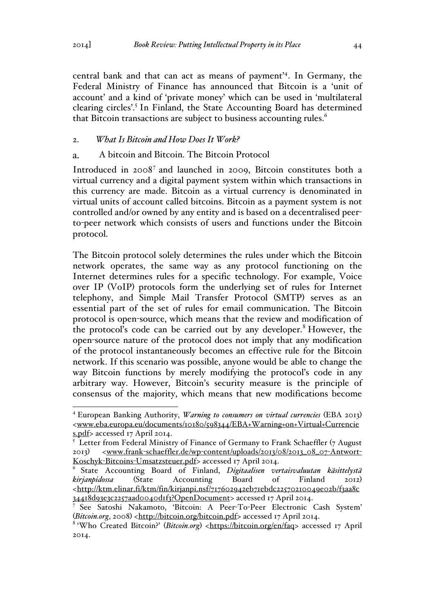central bank and that can act as means of payment'<sup>4</sup> . In Germany, the Federal Ministry of Finance has announced that Bitcoin is a 'unit of account' and a kind of 'private money' which can be used in 'multilateral clearing circles'.5 In Finland, the State Accounting Board has determined that Bitcoin transactions are subject to business accounting rules.<sup>6</sup>

## 2. *What Is Bitcoin and How Does It Work?*

#### $\mathbf{a}$ . A bitcoin and Bitcoin. The Bitcoin Protocol

Introduced in 2008<sup>7</sup> and launched in 2009, Bitcoin constitutes both a virtual currency and a digital payment system within which transactions in this currency are made. Bitcoin as a virtual currency is denominated in virtual units of account called bitcoins. Bitcoin as a payment system is not controlled and/or owned by any entity and is based on a decentralised peerto-peer network which consists of users and functions under the Bitcoin protocol.

The Bitcoin protocol solely determines the rules under which the Bitcoin network operates, the same way as any protocol functioning on the Internet determines rules for a specific technology. For example, Voice over IP (VoIP) protocols form the underlying set of rules for Internet telephony, and Simple Mail Transfer Protocol (SMTP) serves as an essential part of the set of rules for email communication. The Bitcoin protocol is open-source, which means that the review and modification of the protocol's code can be carried out by any developer.<sup>8</sup> However, the open-source nature of the protocol does not imply that any modification of the protocol instantaneously becomes an effective rule for the Bitcoin network. If this scenario was possible, anyone would be able to change the way Bitcoin functions by merely modifying the protocol's code in any arbitrary way. However, Bitcoin's security measure is the principle of consensus of the majority, which means that new modifications become

 <sup>4</sup> European Banking Authority, *Warning to consumers on virtual currencies* (EBA 2013) <www.eba.europa.eu/documents/10180/598344/EBA+Warning+on+Virtual+Currencie s.pdf> accessed 17 April 2014.

 $5$  Letter from Federal Ministry of Finance of Germany to Frank Schaeffler (7 August 2013) <www.frank-schaeffler.de/wp-content/uploads/2013/08/2013\_08\_07-Antwort-Koschyk-Bitcoins-Umsatzsteuer.pdf> accessed 17 April 2014.

<sup>6</sup> State Accounting Board of Finland, *Digitaalisen vertaisvaluutan käsittelystä kirjanpidossa* (State Accounting Board of Finland 2012) <http://ktm.elinar.fi/ktm/fin/kirjanpi.nsf/717602942eb71ebdc22570210049e02b/f3aa8c 34418d93e3c2257aad0040d1f3?OpenDocument> accessed 17 April 2014.

<sup>7</sup> See Satoshi Nakamoto, 'Bitcoin: A Peer-To-Peer Electronic Cash System' (*Bitcoin.org*, 2008) <http://bitcoin.org/bitcoin.pdf> accessed 17 April 2014.

<sup>&</sup>lt;sup>8</sup> 'Who Created Bitcoin?' (*Bitcoin.org*) <https://bitcoin.org/en/faq> accessed 17 April 2014.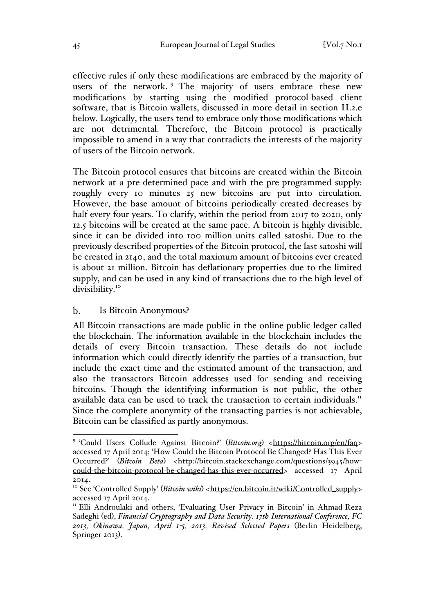effective rules if only these modifications are embraced by the majority of users of the network. <sup>9</sup> The majority of users embrace these new modifications by starting using the modified protocol-based client software, that is Bitcoin wallets, discussed in more detail in section II.2.e below. Logically, the users tend to embrace only those modifications which are not detrimental. Therefore, the Bitcoin protocol is practically impossible to amend in a way that contradicts the interests of the majority of users of the Bitcoin network.

The Bitcoin protocol ensures that bitcoins are created within the Bitcoin network at a pre-determined pace and with the pre-programmed supply: roughly every 10 minutes 25 new bitcoins are put into circulation. However, the base amount of bitcoins periodically created decreases by half every four years. To clarify, within the period from 2017 to 2020, only 12.5 bitcoins will be created at the same pace. A bitcoin is highly divisible, since it can be divided into 100 million units called satoshi. Due to the previously described properties of the Bitcoin protocol, the last satoshi will be created in 2140, and the total maximum amount of bitcoins ever created is about 21 million. Bitcoin has deflationary properties due to the limited supply, and can be used in any kind of transactions due to the high level of divisibility.<sup>10</sup>

#### $\mathbf{b}$ . Is Bitcoin Anonymous?

All Bitcoin transactions are made public in the online public ledger called the blockchain. The information available in the blockchain includes the details of every Bitcoin transaction. These details do not include information which could directly identify the parties of a transaction, but include the exact time and the estimated amount of the transaction, and also the transactors Bitcoin addresses used for sending and receiving bitcoins. Though the identifying information is not public, the other available data can be used to track the transaction to certain individuals.<sup>11</sup> Since the complete anonymity of the transacting parties is not achievable, Bitcoin can be classified as partly anonymous.

<sup>&</sup>lt;sup>9</sup> 'Could Users Collude Against Bitcoin?' (*Bitcoin.org*) <https://bitcoin.org/en/faq> accessed 17 April 2014; 'How Could the Bitcoin Protocol Be Changed? Has This Ever Occurred?' (*Bitcoin Beta*) <http://bitcoin.stackexchange.com/questions/3945/howcould-the-bitcoin-protocol-be-changed-has-this-ever-occurred> accessed 17 April 2014.

<sup>&</sup>lt;sup>10</sup> See 'Controlled Supply' (*Bitcoin wiki*) <https://en.bitcoin.it/wiki/Controlled\_supply> accessed 17 April 2014.

<sup>&</sup>lt;sup>11</sup> Elli Androulaki and others, 'Evaluating User Privacy in Bitcoin' in Ahmad-Reza Sadeghi (ed), *Financial Cryptography and Data Security: 17th International Conference, FC 2013, Okinawa, Japan, April 1-5, 2013, Revised Selected Papers* (Berlin Heidelberg, Springer 2013).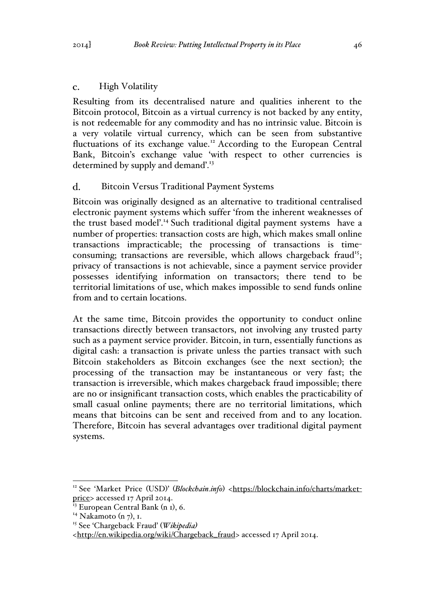### $\mathbf{C}$ . High Volatility

Resulting from its decentralised nature and qualities inherent to the Bitcoin protocol, Bitcoin as a virtual currency is not backed by any entity, is not redeemable for any commodity and has no intrinsic value. Bitcoin is a very volatile virtual currency, which can be seen from substantive fluctuations of its exchange value.<sup>12</sup> According to the European Central Bank, Bitcoin's exchange value 'with respect to other currencies is determined by supply and demand<sup>'.13</sup>

### d. Bitcoin Versus Traditional Payment Systems

Bitcoin was originally designed as an alternative to traditional centralised electronic payment systems which suffer 'from the inherent weaknesses of the trust based model'.<sup>14</sup> Such traditional digital payment systems have a number of properties: transaction costs are high, which makes small online transactions impracticable; the processing of transactions is timeconsuming; transactions are reversible, which allows chargeback fraud<sup>15</sup>; privacy of transactions is not achievable, since a payment service provider possesses identifying information on transactors; there tend to be territorial limitations of use, which makes impossible to send funds online from and to certain locations.

At the same time, Bitcoin provides the opportunity to conduct online transactions directly between transactors, not involving any trusted party such as a payment service provider. Bitcoin, in turn, essentially functions as digital cash: a transaction is private unless the parties transact with such Bitcoin stakeholders as Bitcoin exchanges (see the next section); the processing of the transaction may be instantaneous or very fast; the transaction is irreversible, which makes chargeback fraud impossible; there are no or insignificant transaction costs, which enables the practicability of small casual online payments; there are no territorial limitations, which means that bitcoins can be sent and received from and to any location. Therefore, Bitcoin has several advantages over traditional digital payment systems.

<sup>&</sup>lt;sup>12</sup> See 'Market Price (USD)' (*Blockchain.info*) <https://blockchain.info/charts/marketprice> accessed 17 April 2014.

 $\frac{1}{13}$  European Central Bank (n I), 6.

<sup>&</sup>lt;sup>14</sup> Nakamoto (n 7), 1.

<sup>15</sup> See 'Chargeback Fraud' (*Wikipedia)*

<sup>&</sup>lt;http://en.wikipedia.org/wiki/Chargeback\_fraud> accessed 17 April 2014.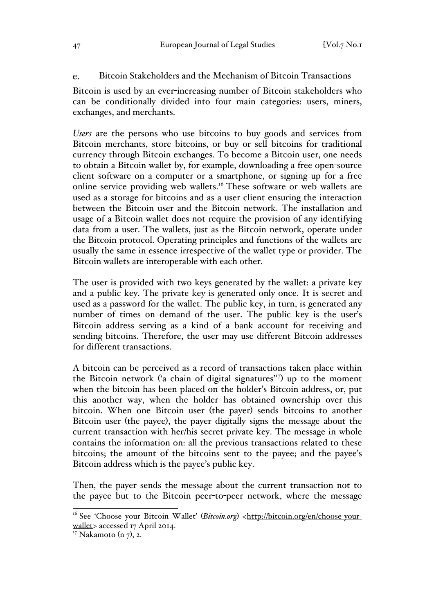#### Bitcoin Stakeholders and the Mechanism of Bitcoin Transactions e.

Bitcoin is used by an ever-increasing number of Bitcoin stakeholders who can be conditionally divided into four main categories: users, miners, exchanges, and merchants.

*Users* are the persons who use bitcoins to buy goods and services from Bitcoin merchants, store bitcoins, or buy or sell bitcoins for traditional currency through Bitcoin exchanges. To become a Bitcoin user, one needs to obtain a Bitcoin wallet by, for example, downloading a free open-source client software on a computer or a smartphone, or signing up for a free online service providing web wallets.<sup>16</sup> These software or web wallets are used as a storage for bitcoins and as a user client ensuring the interaction between the Bitcoin user and the Bitcoin network. The installation and usage of a Bitcoin wallet does not require the provision of any identifying data from a user. The wallets, just as the Bitcoin network, operate under the Bitcoin protocol. Operating principles and functions of the wallets are usually the same in essence irrespective of the wallet type or provider. The Bitcoin wallets are interoperable with each other.

The user is provided with two keys generated by the wallet: a private key and a public key. The private key is generated only once. It is secret and used as a password for the wallet. The public key, in turn, is generated any number of times on demand of the user. The public key is the user's Bitcoin address serving as a kind of a bank account for receiving and sending bitcoins. Therefore, the user may use different Bitcoin addresses for different transactions.

A bitcoin can be perceived as a record of transactions taken place within the Bitcoin network ('a chain of digital signatures'<sup>17</sup>) up to the moment when the bitcoin has been placed on the holder's Bitcoin address, or, put this another way, when the holder has obtained ownership over this bitcoin. When one Bitcoin user (the payer) sends bitcoins to another Bitcoin user (the payee), the payer digitally signs the message about the current transaction with her/his secret private key. The message in whole contains the information on: all the previous transactions related to these bitcoins; the amount of the bitcoins sent to the payee; and the payee's Bitcoin address which is the payee's public key.

Then, the payer sends the message about the current transaction not to the payee but to the Bitcoin peer-to-peer network, where the message

<sup>&</sup>lt;sup>16</sup> See 'Choose your Bitcoin Wallet' (*Bitcoin.org*) <http://bitcoin.org/en/choose-yourwallet> accessed 17 April 2014.

 $17$  Nakamoto (n 7), 2.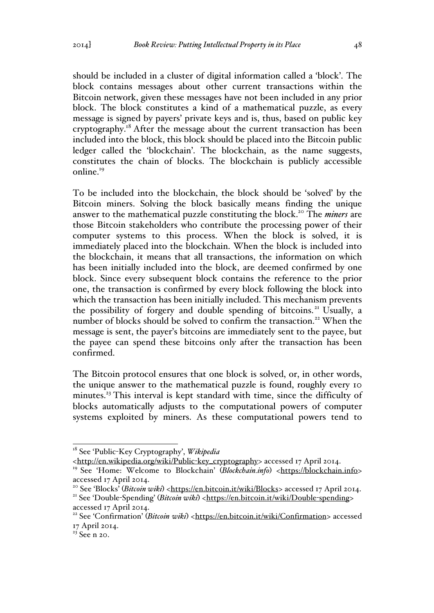should be included in a cluster of digital information called a 'block'. The block contains messages about other current transactions within the Bitcoin network, given these messages have not been included in any prior block. The block constitutes a kind of a mathematical puzzle, as every message is signed by payers' private keys and is, thus, based on public key cryptography.<sup>18</sup> After the message about the current transaction has been included into the block, this block should be placed into the Bitcoin public ledger called the 'blockchain'. The blockchain, as the name suggests, constitutes the chain of blocks. The blockchain is publicly accessible online.<sup>19</sup>

To be included into the blockchain, the block should be 'solved' by the Bitcoin miners. Solving the block basically means finding the unique answer to the mathematical puzzle constituting the block.20 The *miners* are those Bitcoin stakeholders who contribute the processing power of their computer systems to this process. When the block is solved, it is immediately placed into the blockchain. When the block is included into the blockchain, it means that all transactions, the information on which has been initially included into the block, are deemed confirmed by one block. Since every subsequent block contains the reference to the prior one, the transaction is confirmed by every block following the block into which the transaction has been initially included. This mechanism prevents the possibility of forgery and double spending of bitcoins.<sup>21</sup> Usually, a number of blocks should be solved to confirm the transaction.<sup>22</sup> When the message is sent, the payer's bitcoins are immediately sent to the payee, but the payee can spend these bitcoins only after the transaction has been confirmed.

The Bitcoin protocol ensures that one block is solved, or, in other words, the unique answer to the mathematical puzzle is found, roughly every 10 minutes.<sup>23</sup> This interval is kept standard with time, since the difficulty of blocks automatically adjusts to the computational powers of computer systems exploited by miners. As these computational powers tend to

 <sup>18</sup> See 'Public-Key Cryptography', *Wikipedia*

<sup>&</sup>lt;http://en.wikipedia.org/wiki/Public-key\_cryptography> accessed 17 April 2014.

<sup>&</sup>lt;sup>19</sup> See 'Home: Welcome to Blockchain' (*Blockchain.info*) <https://blockchain.info> accessed 17 April 2014.

<sup>&</sup>lt;sup>20</sup> See 'Blocks<sup>'</sup> (*Bitcoin wiki*) <https://en.bitcoin.it/wiki/Blocks> accessed 17 April 2014.<br><sup>21</sup> See 'Double-Spending' (*Bitcoin wiki*) <https://en.bitcoin.it/wiki/Double-spending>

accessed 17 April 2014.

<sup>&</sup>lt;sup>22</sup> See 'Confirmation' (*Bitcoin wiki*) <https://en.bitcoin.it/wiki/Confirmation> accessed 17 April 2014.

 $23$  See n 20.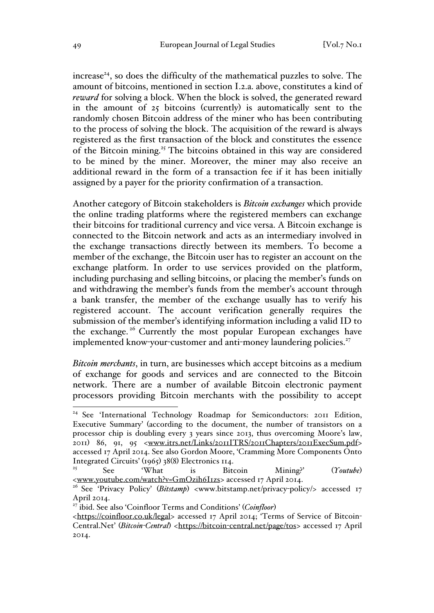$i$  increase<sup>24</sup>, so does the difficulty of the mathematical puzzles to solve. The amount of bitcoins, mentioned in section I.2.a. above, constitutes a kind of *reward* for solving a block. When the block is solved, the generated reward in the amount of 25 bitcoins (currently) is automatically sent to the randomly chosen Bitcoin address of the miner who has been contributing to the process of solving the block. The acquisition of the reward is always registered as the first transaction of the block and constitutes the essence of the Bitcoin mining.<sup>25</sup> The bitcoins obtained in this way are considered to be mined by the miner. Moreover, the miner may also receive an additional reward in the form of a transaction fee if it has been initially assigned by a payer for the priority confirmation of a transaction.

Another category of Bitcoin stakeholders is *Bitcoin exchanges* which provide the online trading platforms where the registered members can exchange their bitcoins for traditional currency and vice versa. A Bitcoin exchange is connected to the Bitcoin network and acts as an intermediary involved in the exchange transactions directly between its members. To become a member of the exchange, the Bitcoin user has to register an account on the exchange platform. In order to use services provided on the platform, including purchasing and selling bitcoins, or placing the member's funds on and withdrawing the member's funds from the member's account through a bank transfer, the member of the exchange usually has to verify his registered account. The account verification generally requires the submission of the member's identifying information including a valid ID to the exchange. <sup>26</sup> Currently the most popular European exchanges have implemented know-your-customer and anti-money laundering policies.<sup>27</sup>

*Bitcoin merchants*, in turn, are businesses which accept bitcoins as a medium of exchange for goods and services and are connected to the Bitcoin network. There are a number of available Bitcoin electronic payment processors providing Bitcoin merchants with the possibility to accept

<sup>&</sup>lt;sup>24</sup> See 'International Technology Roadmap for Semiconductors: 2011 Edition, Executive Summary' (according to the document, the number of transistors on a processor chip is doubling every 3 years since 2013, thus overcoming Moore's law, 2011) 86, 91, 95 <www.itrs.net/Links/2011ITRS/2011Chapters/2011ExecSum.pdf> accessed 17 April 2014. See also Gordon Moore, 'Cramming More Components Onto Integrated Circuits' (1965) 38(8) Electronics 114.

<sup>&</sup>lt;sup>25</sup> See 'What is Bitcoin Mining?' (*Youtube*) <www.youtube.com/watch?v=GmOzih6I1zs> accessed 17 April 2014.

<sup>&</sup>lt;sup>26</sup> See 'Privacy Policy' (*Bitstamp*) <www.bitstamp.net/privacy-policy/> accessed 17 April 2014.

<sup>27</sup> ibid. See also 'Coinfloor Terms and Conditions' (*Coinfloor*)

<sup>&</sup>lt;https://coinfloor.co.uk/legal> accessed 17 April 2014; 'Terms of Service of Bitcoin-Central.Net' (*Bitcoin-Central*) <https://bitcoin-central.net/page/tos> accessed 17 April 2014.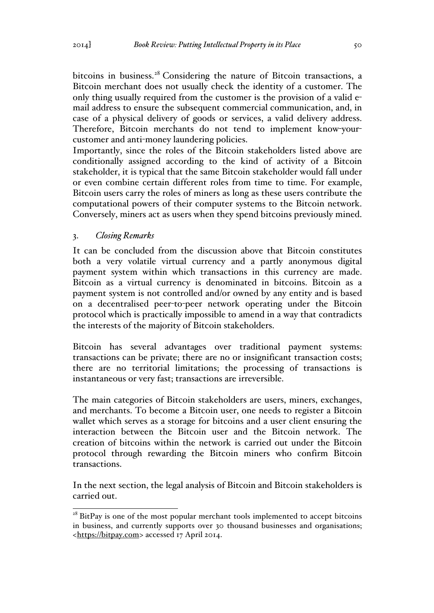bitcoins in business.<sup>28</sup> Considering the nature of Bitcoin transactions, a Bitcoin merchant does not usually check the identity of a customer. The only thing usually required from the customer is the provision of a valid email address to ensure the subsequent commercial communication, and, in case of a physical delivery of goods or services, a valid delivery address. Therefore, Bitcoin merchants do not tend to implement know-yourcustomer and anti-money laundering policies.

Importantly, since the roles of the Bitcoin stakeholders listed above are conditionally assigned according to the kind of activity of a Bitcoin stakeholder, it is typical that the same Bitcoin stakeholder would fall under or even combine certain different roles from time to time. For example, Bitcoin users carry the roles of miners as long as these users contribute the computational powers of their computer systems to the Bitcoin network. Conversely, miners act as users when they spend bitcoins previously mined.

## 3. *Closing Remarks*

It can be concluded from the discussion above that Bitcoin constitutes both a very volatile virtual currency and a partly anonymous digital payment system within which transactions in this currency are made. Bitcoin as a virtual currency is denominated in bitcoins. Bitcoin as a payment system is not controlled and/or owned by any entity and is based on a decentralised peer-to-peer network operating under the Bitcoin protocol which is practically impossible to amend in a way that contradicts the interests of the majority of Bitcoin stakeholders.

Bitcoin has several advantages over traditional payment systems: transactions can be private; there are no or insignificant transaction costs; there are no territorial limitations; the processing of transactions is instantaneous or very fast; transactions are irreversible.

The main categories of Bitcoin stakeholders are users, miners, exchanges, and merchants. To become a Bitcoin user, one needs to register a Bitcoin wallet which serves as a storage for bitcoins and a user client ensuring the interaction between the Bitcoin user and the Bitcoin network. The creation of bitcoins within the network is carried out under the Bitcoin protocol through rewarding the Bitcoin miners who confirm Bitcoin transactions.

In the next section, the legal analysis of Bitcoin and Bitcoin stakeholders is carried out.

 $28$  BitPay is one of the most popular merchant tools implemented to accept bitcoins in business, and currently supports over 30 thousand businesses and organisations; <https://bitpay.com> accessed 17 April 2014.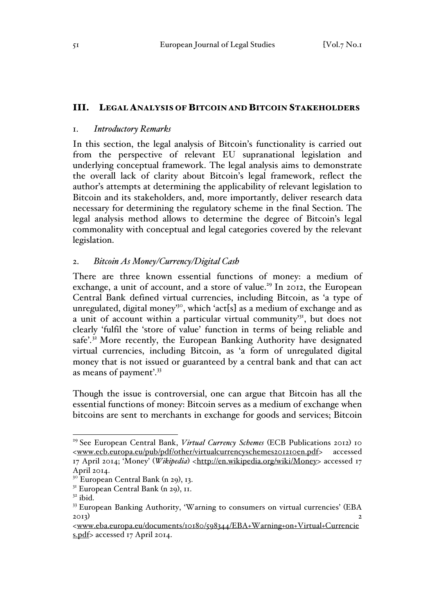### III. LEGAL ANALYSIS OF BITCOIN AND BITCOIN STAKEHOLDERS

### 1. *Introductory Remarks*

In this section, the legal analysis of Bitcoin's functionality is carried out from the perspective of relevant EU supranational legislation and underlying conceptual framework. The legal analysis aims to demonstrate the overall lack of clarity about Bitcoin's legal framework, reflect the author's attempts at determining the applicability of relevant legislation to Bitcoin and its stakeholders, and, more importantly, deliver research data necessary for determining the regulatory scheme in the final Section. The legal analysis method allows to determine the degree of Bitcoin's legal commonality with conceptual and legal categories covered by the relevant legislation.

### 2. *Bitcoin As Money/Currency/Digital Cash*

There are three known essential functions of money: a medium of exchange, a unit of account, and a store of value.<sup>29</sup> In 2012, the European Central Bank defined virtual currencies, including Bitcoin, as 'a type of unregulated, digital money<sup>30</sup>, which 'act[s] as a medium of exchange and as a unit of account within a particular virtual community<sup>31</sup>, but does not clearly 'fulfil the 'store of value' function in terms of being reliable and safe'.<sup>32</sup> More recently, the European Banking Authority have designated virtual currencies, including Bitcoin, as 'a form of unregulated digital money that is not issued or guaranteed by a central bank and that can act as means of payment'.33

Though the issue is controversial, one can argue that Bitcoin has all the essential functions of money: Bitcoin serves as a medium of exchange when bitcoins are sent to merchants in exchange for goods and services; Bitcoin

<sup>&</sup>lt;sup>29</sup> See European Central Bank, *Virtual Currency Schemes* (ECB Publications 2012) 10 <www.ecb.europa.eu/pub/pdf/other/virtualcurrencyschemes201210en.pdf> accessed 17 April 2014; 'Money' (*Wikipedia*) <http://en.wikipedia.org/wiki/Money> accessed 17 April 2014.

 $3^\circ$  European Central Bank (n 29), 13.

 $3<sup>1</sup>$  European Central Bank (n 29), 11.

 $32$  ibid.

<sup>&</sup>lt;sup>33</sup> European Banking Authority, 'Warning to consumers on virtual currencies' (EBA 2013) 2

<sup>&</sup>lt;www.eba.europa.eu/documents/10180/598344/EBA+Warning+on+Virtual+Currencie s.pdf> accessed 17 April 2014.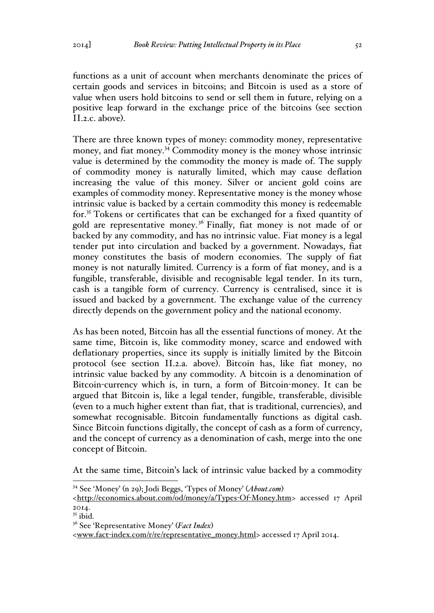functions as a unit of account when merchants denominate the prices of certain goods and services in bitcoins; and Bitcoin is used as a store of value when users hold bitcoins to send or sell them in future, relying on a positive leap forward in the exchange price of the bitcoins (see section II.2.c. above).

There are three known types of money: commodity money, representative money, and fiat money.<sup>34</sup> Commodity money is the money whose intrinsic value is determined by the commodity the money is made of. The supply of commodity money is naturally limited, which may cause deflation increasing the value of this money. Silver or ancient gold coins are examples of commodity money. Representative money is the money whose intrinsic value is backed by a certain commodity this money is redeemable for.<sup>35</sup> Tokens or certificates that can be exchanged for a fixed quantity of gold are representative money.<sup>36</sup> Finally, fiat money is not made of or backed by any commodity, and has no intrinsic value. Fiat money is a legal tender put into circulation and backed by a government. Nowadays, fiat money constitutes the basis of modern economies. The supply of fiat money is not naturally limited. Currency is a form of fiat money, and is a fungible, transferable, divisible and recognisable legal tender. In its turn, cash is a tangible form of currency. Currency is centralised, since it is issued and backed by a government. The exchange value of the currency directly depends on the government policy and the national economy.

As has been noted, Bitcoin has all the essential functions of money. At the same time, Bitcoin is, like commodity money, scarce and endowed with deflationary properties, since its supply is initially limited by the Bitcoin protocol (see section II.2.a. above). Bitcoin has, like fiat money, no intrinsic value backed by any commodity. A bitcoin is a denomination of Bitcoin-currency which is, in turn, a form of Bitcoin-money. It can be argued that Bitcoin is, like a legal tender, fungible, transferable, divisible (even to a much higher extent than fiat, that is traditional, currencies), and somewhat recognisable. Bitcoin fundamentally functions as digital cash. Since Bitcoin functions digitally, the concept of cash as a form of currency, and the concept of currency as a denomination of cash, merge into the one concept of Bitcoin.

At the same time, Bitcoin's lack of intrinsic value backed by a commodity

 <sup>34</sup> See 'Money' (n 29); Jodi Beggs, 'Types of Money' (*About.com*)

<sup>&</sup>lt;http://economics.about.com/od/money/a/Types-Of-Money.htm> accessed 17 April 2014.

 $35$  ibid.

<sup>36</sup> See 'Representative Money' (*Fact Index*)

<sup>&</sup>lt;www.fact-index.com/r/re/representative\_money.html> accessed 17 April 2014.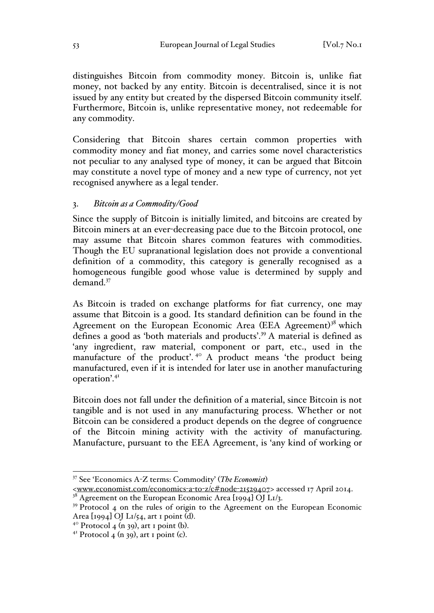distinguishes Bitcoin from commodity money. Bitcoin is, unlike fiat money, not backed by any entity. Bitcoin is decentralised, since it is not issued by any entity but created by the dispersed Bitcoin community itself. Furthermore, Bitcoin is, unlike representative money, not redeemable for any commodity.

Considering that Bitcoin shares certain common properties with commodity money and fiat money, and carries some novel characteristics not peculiar to any analysed type of money, it can be argued that Bitcoin may constitute a novel type of money and a new type of currency, not yet recognised anywhere as a legal tender.

## 3. *Bitcoin as a Commodity/Good*

Since the supply of Bitcoin is initially limited, and bitcoins are created by Bitcoin miners at an ever-decreasing pace due to the Bitcoin protocol, one may assume that Bitcoin shares common features with commodities. Though the EU supranational legislation does not provide a conventional definition of a commodity, this category is generally recognised as a homogeneous fungible good whose value is determined by supply and demand. 37

As Bitcoin is traded on exchange platforms for fiat currency, one may assume that Bitcoin is a good. Its standard definition can be found in the Agreement on the European Economic Area (EEA Agreement)<sup>38</sup> which defines a good as 'both materials and products'.<sup>39</sup> A material is defined as 'any ingredient, raw material, component or part, etc., used in the manufacture of the product.<sup>40</sup> A product means 'the product being manufactured, even if it is intended for later use in another manufacturing operation'.41

Bitcoin does not fall under the definition of a material, since Bitcoin is not tangible and is not used in any manufacturing process. Whether or not Bitcoin can be considered a product depends on the degree of congruence of the Bitcoin mining activity with the activity of manufacturing. Manufacture, pursuant to the EEA Agreement, is 'any kind of working or

 <sup>37</sup> See 'Economics A-Z terms: Commodity' (*The Economist*)

<sup>&</sup>lt;www.economist.com/economics-a-to-z/c#node-21529407> accessed 17 April 2014.

 $3^8$  Agreement on the European Economic Area [1994] OJ L1/3.

<sup>&</sup>lt;sup>39</sup> Protocol 4 on the rules of origin to the Agreement on the European Economic Area  $\lceil \log_4 \rceil$  OJ L $\frac{1}{54}$ , art 1 point (d).<br><sup>40</sup> Protocol 4 (n 39), art 1 point (b).<br><sup>41</sup> Protocol 4 (n 39), art 1 point (c).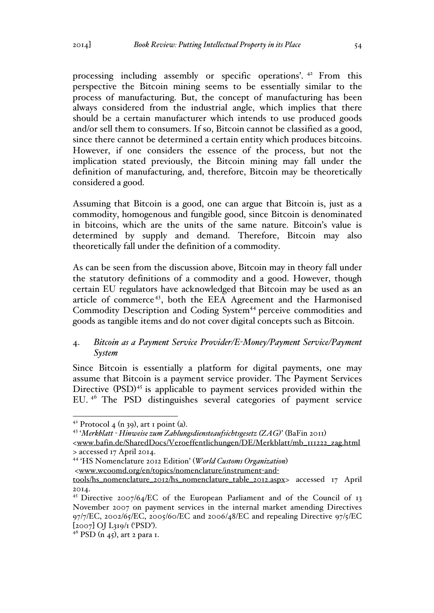processing including assembly or specific operations'. <sup>42</sup> From this perspective the Bitcoin mining seems to be essentially similar to the process of manufacturing. But, the concept of manufacturing has been always considered from the industrial angle, which implies that there should be a certain manufacturer which intends to use produced goods and/or sell them to consumers. If so, Bitcoin cannot be classified as a good, since there cannot be determined a certain entity which produces bitcoins. However, if one considers the essence of the process, but not the implication stated previously, the Bitcoin mining may fall under the definition of manufacturing, and, therefore, Bitcoin may be theoretically considered a good.

Assuming that Bitcoin is a good, one can argue that Bitcoin is, just as a commodity, homogenous and fungible good, since Bitcoin is denominated in bitcoins, which are the units of the same nature. Bitcoin's value is determined by supply and demand. Therefore, Bitcoin may also theoretically fall under the definition of a commodity.

As can be seen from the discussion above, Bitcoin may in theory fall under the statutory definitions of a commodity and a good. However, though certain EU regulators have acknowledged that Bitcoin may be used as an article of commerce 43, both the EEA Agreement and the Harmonised Commodity Description and Coding System<sup>44</sup> perceive commodities and goods as tangible items and do not cover digital concepts such as Bitcoin.

## 4. *Bitcoin as a Payment Service Provider/E-Money/Payment Service/Payment System*

Since Bitcoin is essentially a platform for digital payments, one may assume that Bitcoin is a payment service provider. The Payment Services Directive (PSD)<sup>45</sup> is applicable to payment services provided within the EU. <sup>46</sup> The PSD distinguishes several categories of payment service

<sup>42</sup> Protocol 4 (n 39), art 1 point (a). <sup>43</sup> '*Merkblatt - Hinweise zum Zahlungsdiensteaufsichtsgesetz (ZAG)*' (BaFin 2011)

<sup>&</sup>lt;www.bafin.de/SharedDocs/Veroeffentlichungen/DE/Merkblatt/mb\_111222\_zag.html > accessed 17 April 2014.

<sup>44</sup> 'HS Nomenclature 2012 Edition' (*World Customs Organization*)

<sup>&</sup>lt;www.wcoomd.org/en/topics/nomenclature/instrument-and-

tools/hs\_nomenclature\_2012/hs\_nomenclature\_table\_2012.aspx> accessed 17 April 2014.

<sup>45</sup> Directive 2007/64/EC of the European Parliament and of the Council of 13 November 2007 on payment services in the internal market amending Directives 97/7/EC, 2002/65/EC, 2005/60/EC and 2006/48/EC and repealing Directive 97/5/EC  $[2007]$  OJ L319/1 ('PSD').<br><sup>46</sup> PSD (n 45), art 2 para 1.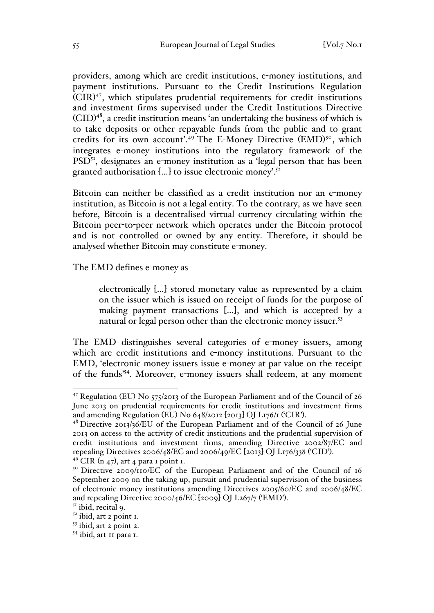providers, among which are credit institutions, e-money institutions, and payment institutions. Pursuant to the Credit Institutions Regulation (CIR) 47, which stipulates prudential requirements for credit institutions and investment firms supervised under the Credit Institutions Directive  $(CID)^{48}$ , a credit institution means 'an undertaking the business of which is to take deposits or other repayable funds from the public and to grant credits for its own account'.<sup>49</sup> The E-Money Directive (EMD)<sup>50</sup>, which integrates e-money institutions into the regulatory framework of the  $PSD<sup>51</sup>$ , designates an e-money institution as a 'legal person that has been granted authorisation  $[...]$  to issue electronic money'.<sup>52</sup>

Bitcoin can neither be classified as a credit institution nor an e-money institution, as Bitcoin is not a legal entity. To the contrary, as we have seen before, Bitcoin is a decentralised virtual currency circulating within the Bitcoin peer-to-peer network which operates under the Bitcoin protocol and is not controlled or owned by any entity. Therefore, it should be analysed whether Bitcoin may constitute e-money.

The EMD defines e-money as

electronically […] stored monetary value as represented by a claim on the issuer which is issued on receipt of funds for the purpose of making payment transactions […], and which is accepted by a natural or legal person other than the electronic money issuer.<sup>53</sup>

The EMD distinguishes several categories of e-money issuers, among which are credit institutions and e-money institutions. Pursuant to the EMD, 'electronic money issuers issue e-money at par value on the receipt of the funds'54. Moreover, e-money issuers shall redeem, at any moment

 <sup>47</sup> Regulation (EU) No 575/2013 of the European Parliament and of the Council of 26 June 2013 on prudential requirements for credit institutions and investment firms and amending Regulation (EU) No 648/2012 [2013] OJ L176/1 ('CIR'). <sup>48</sup> Directive 2013/36/EU of the European Parliament and of the Council of 26 June

<sup>2013</sup> on access to the activity of credit institutions and the prudential supervision of credit institutions and investment firms, amending Directive 2002/87/EC and repealing Directives 2006/48/EC and 2006/49/EC [2013] OJ L176/338 ('CID').<br><sup>49</sup> CIR (n 47), art 4 para 1 point 1.

<sup>&</sup>lt;sup>50</sup> Directive 2009/110/EC of the European Parliament and of the Council of 16 September 2009 on the taking up, pursuit and prudential supervision of the business of electronic money institutions amending Directives 2005/60/EC and 2006/48/EC and repealing Directive 2000/46/EC [2009] OJ L267/7 ('EMD').<br> $51$  ibid, recital 9.

 $52$  ibid, art 2 point 1.

<sup>53</sup> ibid, art 2 point 2.

 $54$  ibid, art 11 para 1.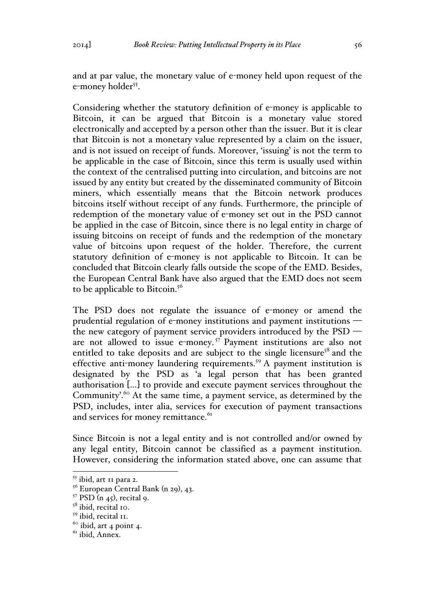and at par value, the monetary value of e-money held upon request of the e-money holder<sup>55</sup>.

Considering whether the statutory definition of e-money is applicable to Bitcoin, it can be argued that Bitcoin is a monetary value stored electronically and accepted by a person other than the issuer. But it is clear that Bitcoin is not a monetary value represented by a claim on the issuer, and is not issued on receipt of funds. Moreover, 'issuing' is not the term to be applicable in the case of Bitcoin, since this term is usually used within the context of the centralised putting into circulation, and bitcoins are not issued by any entity but created by the disseminated community of Bitcoin miners, which essentially means that the Bitcoin network produces bitcoins itself without receipt of any funds. Furthermore, the principle of redemption of the monetary value of e-money set out in the PSD cannot be applied in the case of Bitcoin, since there is no legal entity in charge of issuing bitcoins on receipt of funds and the redemption of the monetary value of bitcoins upon request of the holder. Therefore, the current statutory definition of e-money is not applicable to Bitcoin. It can be concluded that Bitcoin clearly falls outside the scope of the EMD. Besides, the European Central Bank have also argued that the EMD does not seem to be applicable to Bitcoin.<sup>56</sup>

The PSD does not regulate the issuance of e-money or amend the prudential regulation of e-money institutions and payment institutions the new category of payment service providers introduced by the PSD are not allowed to issue e-money. <sup>57</sup> Payment institutions are also not entitled to take deposits and are subject to the single licensure<sup>58</sup> and the effective anti-money laundering requirements.<sup>59</sup> A payment institution is designated by the PSD as 'a legal person that has been granted authorisation […] to provide and execute payment services throughout the Community'.<sup>60</sup> At the same time, a payment service, as determined by the PSD, includes, inter alia, services for execution of payment transactions and services for money remittance.<sup>61</sup>

Since Bitcoin is not a legal entity and is not controlled and/or owned by any legal entity, Bitcoin cannot be classified as a payment institution. However, considering the information stated above, one can assume that

 <sup>55</sup> ibid, art 11 para 2.

 $56$  European Central Bank (n 29), 43.

 $57$  PSD (n 45), recital 9.

<sup>&</sup>lt;sup>58</sup> ibid, recital 10.

<sup>&</sup>lt;sup>59</sup> ibid, recital II.

 $60$  ibid, art 4 point 4.

 $<sup>61</sup>$  ibid, Annex.</sup>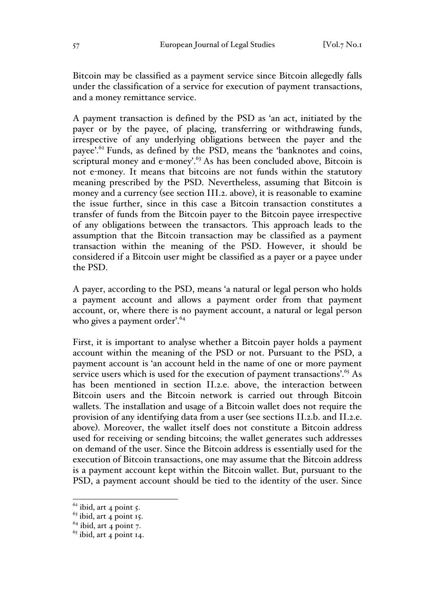Bitcoin may be classified as a payment service since Bitcoin allegedly falls under the classification of a service for execution of payment transactions, and a money remittance service.

A payment transaction is defined by the PSD as 'an act, initiated by the payer or by the payee, of placing, transferring or withdrawing funds, irrespective of any underlying obligations between the payer and the payee'.62 Funds, as defined by the PSD, means the 'banknotes and coins, scriptural money and e-money'. $63$  As has been concluded above, Bitcoin is not e-money. It means that bitcoins are not funds within the statutory meaning prescribed by the PSD. Nevertheless, assuming that Bitcoin is money and a currency (see section III.2. above), it is reasonable to examine the issue further, since in this case a Bitcoin transaction constitutes a transfer of funds from the Bitcoin payer to the Bitcoin payee irrespective of any obligations between the transactors. This approach leads to the assumption that the Bitcoin transaction may be classified as a payment transaction within the meaning of the PSD. However, it should be considered if a Bitcoin user might be classified as a payer or a payee under the PSD.

A payer, according to the PSD, means 'a natural or legal person who holds a payment account and allows a payment order from that payment account, or, where there is no payment account, a natural or legal person who gives a payment order'.<sup>64</sup>

First, it is important to analyse whether a Bitcoin payer holds a payment account within the meaning of the PSD or not. Pursuant to the PSD, a payment account is 'an account held in the name of one or more payment service users which is used for the execution of payment transactions'.<sup>65</sup> As has been mentioned in section II.2.e. above, the interaction between Bitcoin users and the Bitcoin network is carried out through Bitcoin wallets. The installation and usage of a Bitcoin wallet does not require the provision of any identifying data from a user (see sections II.2.b. and II.2.e. above). Moreover, the wallet itself does not constitute a Bitcoin address used for receiving or sending bitcoins; the wallet generates such addresses on demand of the user. Since the Bitcoin address is essentially used for the execution of Bitcoin transactions, one may assume that the Bitcoin address is a payment account kept within the Bitcoin wallet. But, pursuant to the PSD, a payment account should be tied to the identity of the user. Since

 $\frac{62}{63}$  ibid, art 4 point 5.<br> $\frac{63}{3}$  ibid, art 4 point 15.

 $64$  ibid, art 4 point 7.

 $<sup>65</sup>$  ibid, art 4 point 14.</sup>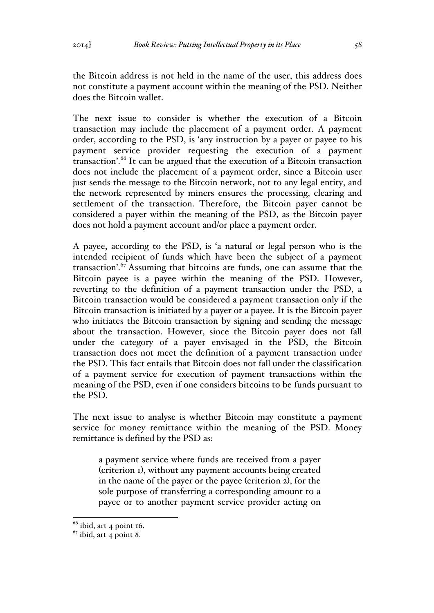The next issue to consider is whether the execution of a Bitcoin transaction may include the placement of a payment order. A payment order, according to the PSD, is 'any instruction by a payer or payee to his payment service provider requesting the execution of a payment transaction'.<sup>66</sup> It can be argued that the execution of a Bitcoin transaction does not include the placement of a payment order, since a Bitcoin user just sends the message to the Bitcoin network, not to any legal entity, and the network represented by miners ensures the processing, clearing and settlement of the transaction. Therefore, the Bitcoin payer cannot be considered a payer within the meaning of the PSD, as the Bitcoin payer does not hold a payment account and/or place a payment order.

A payee, according to the PSD, is 'a natural or legal person who is the intended recipient of funds which have been the subject of a payment transaction'.<sup>67</sup> Assuming that bitcoins are funds, one can assume that the Bitcoin payee is a payee within the meaning of the PSD. However, reverting to the definition of a payment transaction under the PSD, a Bitcoin transaction would be considered a payment transaction only if the Bitcoin transaction is initiated by a payer or a payee. It is the Bitcoin payer who initiates the Bitcoin transaction by signing and sending the message about the transaction. However, since the Bitcoin payer does not fall under the category of a payer envisaged in the PSD, the Bitcoin transaction does not meet the definition of a payment transaction under the PSD. This fact entails that Bitcoin does not fall under the classification of a payment service for execution of payment transactions within the meaning of the PSD, even if one considers bitcoins to be funds pursuant to the PSD.

The next issue to analyse is whether Bitcoin may constitute a payment service for money remittance within the meaning of the PSD. Money remittance is defined by the PSD as:

a payment service where funds are received from a payer (criterion 1), without any payment accounts being created in the name of the payer or the payee (criterion 2), for the sole purpose of transferring a corresponding amount to a payee or to another payment service provider acting on

 $66$  ibid, art 4 point 16.

 $67$  ibid, art 4 point 8.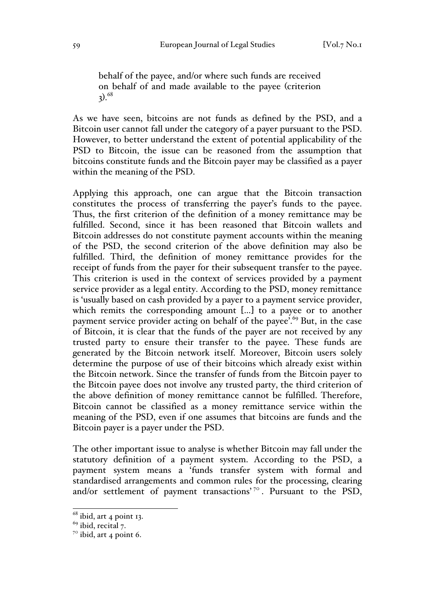behalf of the payee, and/or where such funds are received on behalf of and made available to the payee (criterion  $3)^{68}$ 

As we have seen, bitcoins are not funds as defined by the PSD, and a Bitcoin user cannot fall under the category of a payer pursuant to the PSD. However, to better understand the extent of potential applicability of the PSD to Bitcoin, the issue can be reasoned from the assumption that bitcoins constitute funds and the Bitcoin payer may be classified as a payer within the meaning of the PSD.

Applying this approach, one can argue that the Bitcoin transaction constitutes the process of transferring the payer's funds to the payee. Thus, the first criterion of the definition of a money remittance may be fulfilled. Second, since it has been reasoned that Bitcoin wallets and Bitcoin addresses do not constitute payment accounts within the meaning of the PSD, the second criterion of the above definition may also be fulfilled. Third, the definition of money remittance provides for the receipt of funds from the payer for their subsequent transfer to the payee. This criterion is used in the context of services provided by a payment service provider as a legal entity. According to the PSD, money remittance is 'usually based on cash provided by a payer to a payment service provider, which remits the corresponding amount […] to a payee or to another payment service provider acting on behalf of the payee'.<sup>69</sup> But, in the case of Bitcoin, it is clear that the funds of the payer are not received by any trusted party to ensure their transfer to the payee. These funds are generated by the Bitcoin network itself. Moreover, Bitcoin users solely determine the purpose of use of their bitcoins which already exist within the Bitcoin network. Since the transfer of funds from the Bitcoin payer to the Bitcoin payee does not involve any trusted party, the third criterion of the above definition of money remittance cannot be fulfilled. Therefore, Bitcoin cannot be classified as a money remittance service within the meaning of the PSD, even if one assumes that bitcoins are funds and the Bitcoin payer is a payer under the PSD.

The other important issue to analyse is whether Bitcoin may fall under the statutory definition of a payment system. According to the PSD, a payment system means a 'funds transfer system with formal and standardised arrangements and common rules for the processing, clearing and/or settlement of payment transactions'<sup>70</sup>. Pursuant to the PSD,

 $68$  ibid, art 4 point 13.

 $^{69}$  ibid, recital 7.

 $7^\circ$  ibid, art 4 point 6.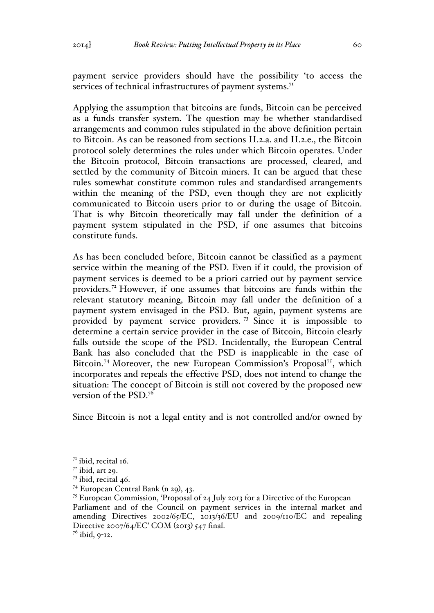payment service providers should have the possibility 'to access the services of technical infrastructures of payment systems.<sup>71</sup>

Applying the assumption that bitcoins are funds, Bitcoin can be perceived as a funds transfer system. The question may be whether standardised arrangements and common rules stipulated in the above definition pertain to Bitcoin. As can be reasoned from sections II.2.a. and II.2.e., the Bitcoin protocol solely determines the rules under which Bitcoin operates. Under the Bitcoin protocol, Bitcoin transactions are processed, cleared, and settled by the community of Bitcoin miners. It can be argued that these rules somewhat constitute common rules and standardised arrangements within the meaning of the PSD, even though they are not explicitly communicated to Bitcoin users prior to or during the usage of Bitcoin. That is why Bitcoin theoretically may fall under the definition of a payment system stipulated in the PSD, if one assumes that bitcoins constitute funds.

As has been concluded before, Bitcoin cannot be classified as a payment service within the meaning of the PSD. Even if it could, the provision of payment services is deemed to be a priori carried out by payment service providers.<sup>72</sup> However, if one assumes that bitcoins are funds within the relevant statutory meaning, Bitcoin may fall under the definition of a payment system envisaged in the PSD. But, again, payment systems are provided by payment service providers. <sup>73</sup> Since it is impossible to determine a certain service provider in the case of Bitcoin, Bitcoin clearly falls outside the scope of the PSD. Incidentally, the European Central Bank has also concluded that the PSD is inapplicable in the case of Bitcoin.<sup>74</sup> Moreover, the new European Commission's Proposal<sup>75</sup>, which incorporates and repeals the effective PSD, does not intend to change the situation: The concept of Bitcoin is still not covered by the proposed new version of the PSD.76

Since Bitcoin is not a legal entity and is not controlled and/or owned by

 $71$  ibid, recital 16.

 $72$  ibid, art 29.

 $73$  ibid, recital 46.

<sup>74</sup> European Central Bank (n 29), 43.

<sup>75</sup> European Commission, 'Proposal of 24 July 2013 for a Directive of the European Parliament and of the Council on payment services in the internal market and amending Directives 2002/65/EC, 2013/36/EU and 2009/110/EC and repealing Directive 2007/64/EC' COM (2013) 547 final.

 $7<sup>6</sup>$  ibid, 9-12.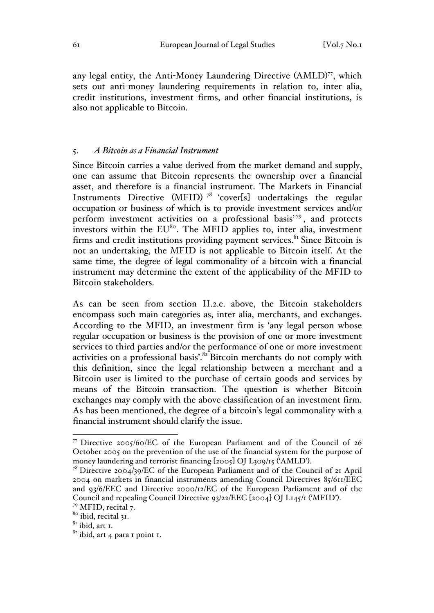any legal entity, the Anti-Money Laundering Directive (AMLD)<sup>77</sup>, which sets out anti-money laundering requirements in relation to, inter alia, credit institutions, investment firms, and other financial institutions, is also not applicable to Bitcoin.

### 5. *A Bitcoin as a Financial Instrument*

Since Bitcoin carries a value derived from the market demand and supply, one can assume that Bitcoin represents the ownership over a financial asset, and therefore is a financial instrument. The Markets in Financial Instruments Directive (MFID)<sup>78</sup> 'cover[s] undertakings the regular occupation or business of which is to provide investment services and/or perform investment activities on a professional basis'79, and protects investors within the  $EU^{80}$ . The MFID applies to, inter alia, investment firms and credit institutions providing payment services.<sup>81</sup> Since Bitcoin is not an undertaking, the MFID is not applicable to Bitcoin itself. At the same time, the degree of legal commonality of a bitcoin with a financial instrument may determine the extent of the applicability of the MFID to Bitcoin stakeholders.

As can be seen from section II.2.e. above, the Bitcoin stakeholders encompass such main categories as, inter alia, merchants, and exchanges. According to the MFID, an investment firm is 'any legal person whose regular occupation or business is the provision of one or more investment services to third parties and/or the performance of one or more investment activities on a professional basis'.<sup>82</sup> Bitcoin merchants do not comply with this definition, since the legal relationship between a merchant and a Bitcoin user is limited to the purchase of certain goods and services by means of the Bitcoin transaction. The question is whether Bitcoin exchanges may comply with the above classification of an investment firm. As has been mentioned, the degree of a bitcoin's legal commonality with a financial instrument should clarify the issue.

 <sup>77</sup> Directive 2005/60/EC of the European Parliament and of the Council of 26 October 2005 on the prevention of the use of the financial system for the purpose of money laundering and terrorist financing [2005] OJ L309/15 ('AMLD'). <sup>78</sup> Directive 2004/39/EC of the European Parliament and of the Council of 21 April

<sup>2004</sup> on markets in financial instruments amending Council Directives 85/611/EEC and 93/6/EEC and Directive 2000/12/EC of the European Parliament and of the Council and repealing Council Directive 93/22/EEC [2004] OJ L145/1 ('MFID'). <sup>79</sup> MFID, recital 7.

<sup>80</sup> ibid, recital 31.

 $81$  ibid, art 1.

 $82$  ibid, art 4 para 1 point 1.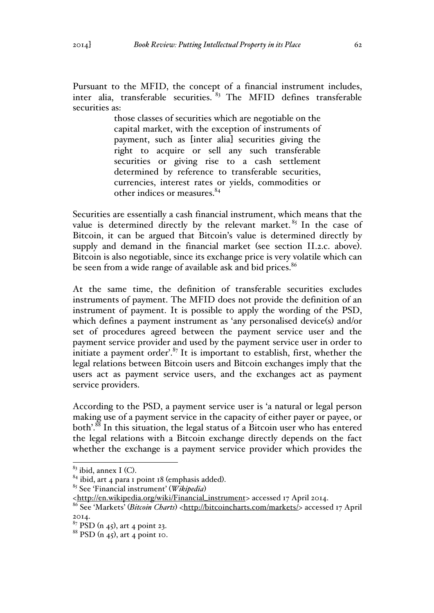Pursuant to the MFID, the concept of a financial instrument includes, inter alia, transferable securities.  $83$  The MFID defines transferable securities as:

> those classes of securities which are negotiable on the capital market, with the exception of instruments of payment, such as [inter alia] securities giving the right to acquire or sell any such transferable securities or giving rise to a cash settlement determined by reference to transferable securities, currencies, interest rates or yields, commodities or other indices or measures.<sup>84</sup>

Securities are essentially a cash financial instrument, which means that the value is determined directly by the relevant market.  $85$  In the case of Bitcoin, it can be argued that Bitcoin's value is determined directly by supply and demand in the financial market (see section II.2.c. above). Bitcoin is also negotiable, since its exchange price is very volatile which can be seen from a wide range of available ask and bid prices.<sup>86</sup>

At the same time, the definition of transferable securities excludes instruments of payment. The MFID does not provide the definition of an instrument of payment. It is possible to apply the wording of the PSD, which defines a payment instrument as 'any personalised device(s) and/or set of procedures agreed between the payment service user and the payment service provider and used by the payment service user in order to initiate a payment order'. $87$  It is important to establish, first, whether the legal relations between Bitcoin users and Bitcoin exchanges imply that the users act as payment service users, and the exchanges act as payment service providers.

According to the PSD, a payment service user is 'a natural or legal person making use of a payment service in the capacity of either payer or payee, or both<sup>'.88</sup> In this situation, the legal status of a Bitcoin user who has entered the legal relations with a Bitcoin exchange directly depends on the fact whether the exchange is a payment service provider which provides the

<sup>83</sup> ibid, annex I (C). <sup>84</sup> ibid, art 4 para 1 point 18 (emphasis added). <sup>85</sup> See 'Financial instrument' (*Wikipedia*)

<sup>&</sup>lt;http://en.wikipedia.org/wiki/Financial\_instrument> accessed 17 April 2014.

<sup>&</sup>lt;sup>86</sup> See 'Markets' (*Bitcoin Charts*) <http://bitcoincharts.com/markets/> accessed 17 April 2014.

 $87$  PSD (n 45), art 4 point 23.

 $88$  PSD (n 45), art 4 point 10.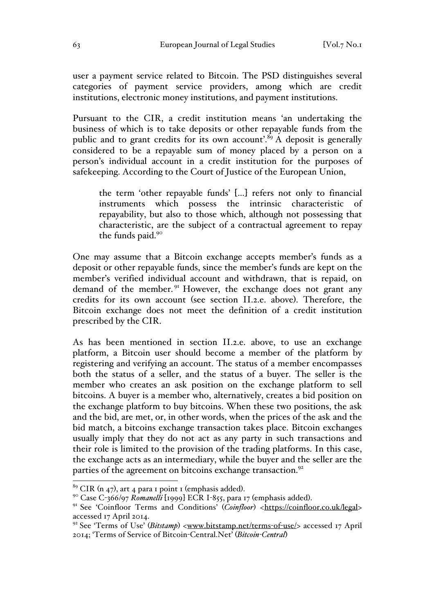user a payment service related to Bitcoin. The PSD distinguishes several categories of payment service providers, among which are credit institutions, electronic money institutions, and payment institutions.

Pursuant to the CIR, a credit institution means 'an undertaking the business of which is to take deposits or other repayable funds from the public and to grant credits for its own account'.<sup>89</sup> A deposit is generally considered to be a repayable sum of money placed by a person on a person's individual account in a credit institution for the purposes of safekeeping. According to the Court of Justice of the European Union,

the term 'other repayable funds' […] refers not only to financial instruments which possess the intrinsic characteristic of repayability, but also to those which, although not possessing that characteristic, are the subject of a contractual agreement to repay the funds paid.<sup>90</sup>

One may assume that a Bitcoin exchange accepts member's funds as a deposit or other repayable funds, since the member's funds are kept on the member's verified individual account and withdrawn, that is repaid, on demand of the member.<sup>91</sup> However, the exchange does not grant any credits for its own account (see section II.2.e. above). Therefore, the Bitcoin exchange does not meet the definition of a credit institution prescribed by the CIR.

As has been mentioned in section II.2.e. above, to use an exchange platform, a Bitcoin user should become a member of the platform by registering and verifying an account. The status of a member encompasses both the status of a seller, and the status of a buyer. The seller is the member who creates an ask position on the exchange platform to sell bitcoins. A buyer is a member who, alternatively, creates a bid position on the exchange platform to buy bitcoins. When these two positions, the ask and the bid, are met, or, in other words, when the prices of the ask and the bid match, a bitcoins exchange transaction takes place. Bitcoin exchanges usually imply that they do not act as any party in such transactions and their role is limited to the provision of the trading platforms. In this case, the exchange acts as an intermediary, while the buyer and the seller are the parties of the agreement on bitcoins exchange transaction.<sup>92</sup>

<sup>&</sup>lt;sup>89</sup> CIR (n 47), art 4 para 1 point 1 (emphasis added).<br><sup>90</sup> Case C-366/97 *Romanelli* [1999] ECR I-855, para 17 (emphasis added).<br><sup>91</sup> See 'Coinfloor Terms and Conditions' (*Coinfloor*) <https://coinfloor.co.uk/legal> accessed 17 April 2014.

<sup>&</sup>lt;sup>92</sup> See 'Terms of Use' (*Bitstamp*) <www.bitstamp.net/terms-of-use/> accessed 17 April 2014; 'Terms of Service of Bitcoin-Central.Net' (*Bitcoin-Central*)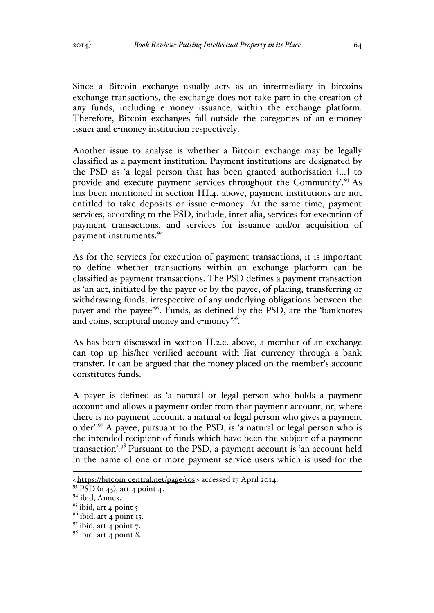Since a Bitcoin exchange usually acts as an intermediary in bitcoins exchange transactions, the exchange does not take part in the creation of any funds, including e-money issuance, within the exchange platform. Therefore, Bitcoin exchanges fall outside the categories of an e-money issuer and e-money institution respectively.

Another issue to analyse is whether a Bitcoin exchange may be legally classified as a payment institution. Payment institutions are designated by the PSD as 'a legal person that has been granted authorisation […] to provide and execute payment services throughout the Community'.<sup>93</sup> As has been mentioned in section III.4. above, payment institutions are not entitled to take deposits or issue e-money. At the same time, payment services, according to the PSD, include, inter alia, services for execution of payment transactions, and services for issuance and/or acquisition of payment instruments.<sup>94</sup>

As for the services for execution of payment transactions, it is important to define whether transactions within an exchange platform can be classified as payment transactions. The PSD defines a payment transaction as 'an act, initiated by the payer or by the payee, of placing, transferring or withdrawing funds, irrespective of any underlying obligations between the payer and the payee'95. Funds, as defined by the PSD, are the 'banknotes and coins, scriptural money and e-money'96.

As has been discussed in section II.2.e. above, a member of an exchange can top up his/her verified account with fiat currency through a bank transfer. It can be argued that the money placed on the member's account constitutes funds.

A payer is defined as 'a natural or legal person who holds a payment account and allows a payment order from that payment account, or, where there is no payment account, a natural or legal person who gives a payment order'.<sup>97</sup> A payee, pursuant to the PSD, is 'a natural or legal person who is the intended recipient of funds which have been the subject of a payment transaction'.<sup>98</sup> Pursuant to the PSD, a payment account is 'an account held in the name of one or more payment service users which is used for the

 <sup>&</sup>lt;https://bitcoin-central.net/page/tos> accessed 17 April 2014.

 $93$  PSD (n 45), art 4 point 4.

<sup>&</sup>lt;sup>94</sup> ibid, Annex.

 $\frac{95}{96}$  ibid, art 4 point 5.<br> $\frac{96}{96}$  ibid, art 4 point 15.

 $97$  ibid, art 4 point 7.

 $98$  ibid, art 4 point 8.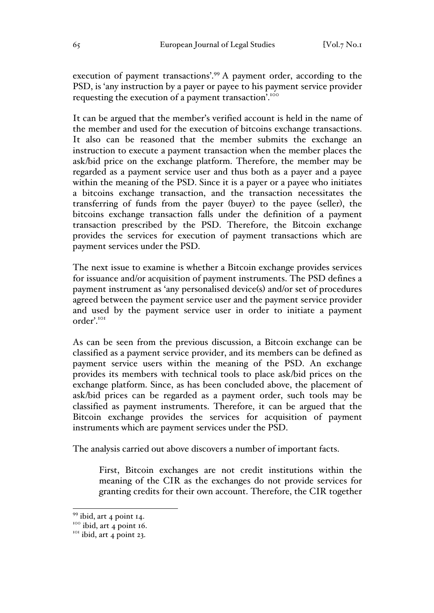execution of payment transactions'.<sup>99</sup> A payment order, according to the PSD, is 'any instruction by a payer or payee to his payment service provider requesting the execution of a payment transaction<sup>7</sup>.<sup>100</sup>

It can be argued that the member's verified account is held in the name of the member and used for the execution of bitcoins exchange transactions. It also can be reasoned that the member submits the exchange an instruction to execute a payment transaction when the member places the ask/bid price on the exchange platform. Therefore, the member may be regarded as a payment service user and thus both as a payer and a payee within the meaning of the PSD. Since it is a payer or a payee who initiates a bitcoins exchange transaction, and the transaction necessitates the transferring of funds from the payer (buyer) to the payee (seller), the bitcoins exchange transaction falls under the definition of a payment transaction prescribed by the PSD. Therefore, the Bitcoin exchange provides the services for execution of payment transactions which are payment services under the PSD.

The next issue to examine is whether a Bitcoin exchange provides services for issuance and/or acquisition of payment instruments. The PSD defines a payment instrument as 'any personalised device(s) and/or set of procedures agreed between the payment service user and the payment service provider and used by the payment service user in order to initiate a payment order'.<sup>101</sup>

As can be seen from the previous discussion, a Bitcoin exchange can be classified as a payment service provider, and its members can be defined as payment service users within the meaning of the PSD. An exchange provides its members with technical tools to place ask/bid prices on the exchange platform. Since, as has been concluded above, the placement of ask/bid prices can be regarded as a payment order, such tools may be classified as payment instruments. Therefore, it can be argued that the Bitcoin exchange provides the services for acquisition of payment instruments which are payment services under the PSD.

The analysis carried out above discovers a number of important facts.

First, Bitcoin exchanges are not credit institutions within the meaning of the CIR as the exchanges do not provide services for granting credits for their own account. Therefore, the CIR together

<sup>&</sup>lt;sup>99</sup> ibid, art 4 point 14.<br><sup>100</sup> ibid, art 4 point 16.<br><sup>101</sup> ibid, art 4 point 23.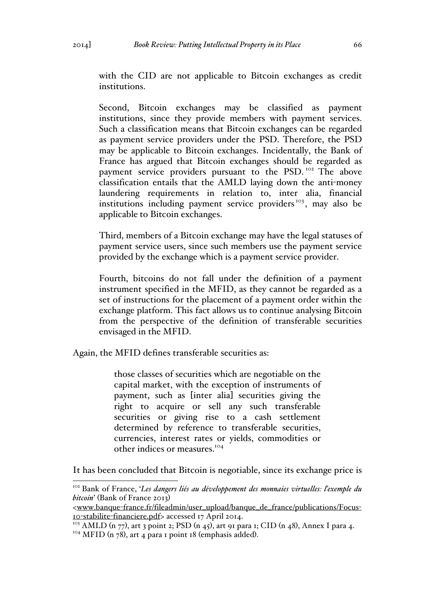with the CID are not applicable to Bitcoin exchanges as credit institutions.

Second, Bitcoin exchanges may be classified as payment institutions, since they provide members with payment services. Such a classification means that Bitcoin exchanges can be regarded as payment service providers under the PSD. Therefore, the PSD may be applicable to Bitcoin exchanges. Incidentally, the Bank of France has argued that Bitcoin exchanges should be regarded as payment service providers pursuant to the PSD.<sup>102</sup> The above classification entails that the AMLD laying down the anti-money laundering requirements in relation to, inter alia, financial institutions including payment service providers<sup>103</sup>, may also be applicable to Bitcoin exchanges.

Third, members of a Bitcoin exchange may have the legal statuses of payment service users, since such members use the payment service provided by the exchange which is a payment service provider.

Fourth, bitcoins do not fall under the definition of a payment instrument specified in the MFID, as they cannot be regarded as a set of instructions for the placement of a payment order within the exchange platform. This fact allows us to continue analysing Bitcoin from the perspective of the definition of transferable securities envisaged in the MFID.

Again, the MFID defines transferable securities as:

those classes of securities which are negotiable on the capital market, with the exception of instruments of payment, such as [inter alia] securities giving the right to acquire or sell any such transferable securities or giving rise to a cash settlement determined by reference to transferable securities, currencies, interest rates or yields, commodities or other indices or measures.<sup>104</sup>

It has been concluded that Bitcoin is negotiable, since its exchange price is

 <sup>102</sup> Bank of France, '*Les dangers liés au développement des monnaies virtuelles: l'exemple du bitcoin*' (Bank of France 2013)

<sup>&</sup>lt;www.banque-france.fr/fileadmin/user\_upload/banque\_de\_france/publications/Focus-10-stabilite-financiere.pdf> accessed 17 April 2014.

<sup>&</sup>lt;sup>103</sup> AMLD (n 77), art 3 point 2; PSD (n 45), art 91 para 1; CID (n 48), Annex I para 4.

<sup>&</sup>lt;sup>104</sup> MFID (n 78), art 4 para 1 point 18 (emphasis added).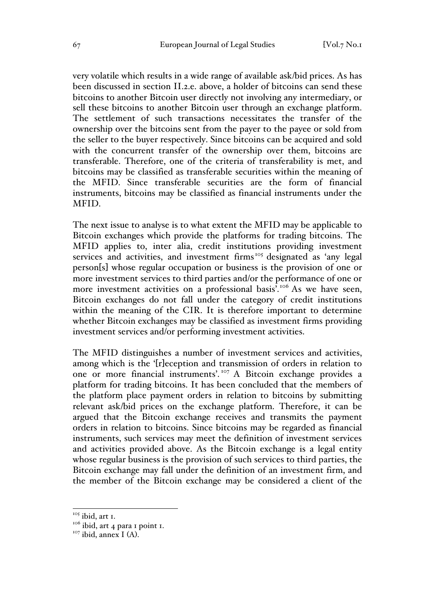very volatile which results in a wide range of available ask/bid prices. As has been discussed in section II.2.e. above, a holder of bitcoins can send these bitcoins to another Bitcoin user directly not involving any intermediary, or sell these bitcoins to another Bitcoin user through an exchange platform. The settlement of such transactions necessitates the transfer of the ownership over the bitcoins sent from the payer to the payee or sold from the seller to the buyer respectively. Since bitcoins can be acquired and sold with the concurrent transfer of the ownership over them, bitcoins are transferable. Therefore, one of the criteria of transferability is met, and bitcoins may be classified as transferable securities within the meaning of the MFID. Since transferable securities are the form of financial instruments, bitcoins may be classified as financial instruments under the MFID.

The next issue to analyse is to what extent the MFID may be applicable to Bitcoin exchanges which provide the platforms for trading bitcoins. The MFID applies to, inter alia, credit institutions providing investment services and activities, and investment firms<sup>105</sup> designated as 'any legal person[s] whose regular occupation or business is the provision of one or more investment services to third parties and/or the performance of one or more investment activities on a professional basis<sup>7</sup>.<sup>106</sup> As we have seen, Bitcoin exchanges do not fall under the category of credit institutions within the meaning of the CIR. It is therefore important to determine whether Bitcoin exchanges may be classified as investment firms providing investment services and/or performing investment activities.

The MFID distinguishes a number of investment services and activities, among which is the '[r]eception and transmission of orders in relation to one or more financial instruments'. <sup>107</sup> A Bitcoin exchange provides a platform for trading bitcoins. It has been concluded that the members of the platform place payment orders in relation to bitcoins by submitting relevant ask/bid prices on the exchange platform. Therefore, it can be argued that the Bitcoin exchange receives and transmits the payment orders in relation to bitcoins. Since bitcoins may be regarded as financial instruments, such services may meet the definition of investment services and activities provided above. As the Bitcoin exchange is a legal entity whose regular business is the provision of such services to third parties, the Bitcoin exchange may fall under the definition of an investment firm, and the member of the Bitcoin exchange may be considered a client of the

<sup>&</sup>lt;sup>105</sup> ibid, art 1.

 $1006$  ibid, art 4 para 1 point 1.

 $107$  ibid, annex I (A).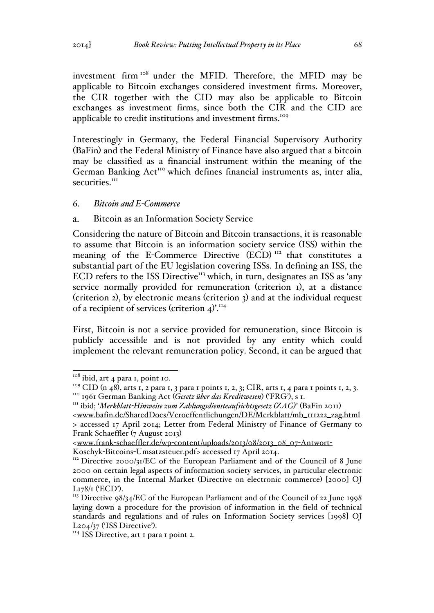investment firm <sup>108</sup> under the MFID. Therefore, the MFID may be applicable to Bitcoin exchanges considered investment firms. Moreover, the CIR together with the CID may also be applicable to Bitcoin exchanges as investment firms, since both the CIR and the CID are applicable to credit institutions and investment firms.<sup>109</sup>

Interestingly in Germany, the Federal Financial Supervisory Authority (BaFin) and the Federal Ministry of Finance have also argued that a bitcoin may be classified as a financial instrument within the meaning of the German Banking  $Act<sup>110</sup>$  which defines financial instruments as, inter alia, securities<sup>III</sup>

### 6. *Bitcoin and E-Commerce*

#### $\mathbf{a}$ . Bitcoin as an Information Society Service

Considering the nature of Bitcoin and Bitcoin transactions, it is reasonable to assume that Bitcoin is an information society service (ISS) within the meaning of the E-Commerce Directive (ECD)<sup>112</sup> that constitutes a substantial part of the EU legislation covering ISSs. In defining an ISS, the ECD refers to the ISS Directive<sup>113</sup> which, in turn, designates an ISS as 'any service normally provided for remuneration (criterion 1), at a distance (criterion 2), by electronic means (criterion 3) and at the individual request of a recipient of services (criterion  $4$ <sup>)'.<sup>114</sup></sup>

First, Bitcoin is not a service provided for remuneration, since Bitcoin is publicly accessible and is not provided by any entity which could implement the relevant remuneration policy. Second, it can be argued that

<sup>&</sup>lt;sup>108</sup> ibid, art 4 para 1, point 10.

<sup>&</sup>lt;sup>109</sup> CID (n 48), arts 1, 2 para 1, 3 para 1 points 1, 2, 3; CIR, arts 1, 4 para 1 points 1, 2, 3.<br><sup>110</sup> 1961 German Banking Act (*Gesetz über das Kreditwesen*) ('FRG'), s 1.<br><sup>111</sup> ibid; '*Merkblatt-Hinweise zum Zahlungsdi* 

<sup>&</sup>lt;www.bafin.de/SharedDocs/Veroeffentlichungen/DE/Merkblatt/mb\_111222\_zag.html > accessed 17 April 2014; Letter from Federal Ministry of Finance of Germany to Frank Schaeffler (7 August 2013)

<sup>&</sup>lt;www.frank-schaeffler.de/wp-content/uploads/2013/08/2013\_08\_07-Antwort-Koschyk-Bitcoins-Umsatzsteuer.pdf> accessed 17 April 2014. <sup>112</sup> Directive 2000/31/EC of the European Parliament and of the Council of 8 June

<sup>2000</sup> on certain legal aspects of information society services, in particular electronic commerce, in the Internal Market (Directive on electronic commerce) [2000] OJ L178/1 ('ECD').<br><sup>113</sup> Directive 98/34/EC of the European Parliament and of the Council of 22 June 1998

laying down a procedure for the provision of information in the field of technical standards and regulations and of rules on Information Society services [1998] OJ  $L_{204}/37$  ('ISS Directive').<br><sup>114</sup> ISS Directive, art 1 para 1 point 2.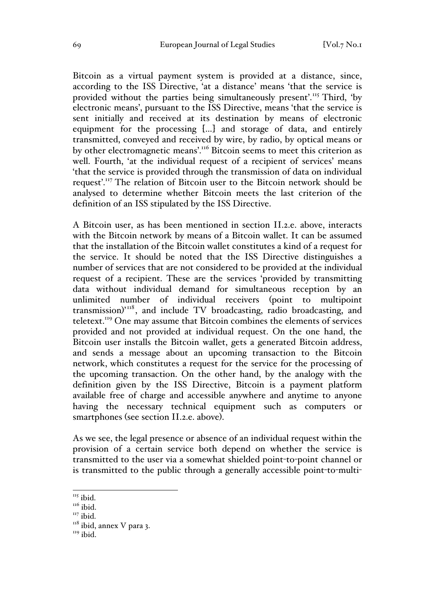Bitcoin as a virtual payment system is provided at a distance, since, according to the ISS Directive, 'at a distance' means 'that the service is provided without the parties being simultaneously present'.<sup>115</sup> Third, 'by electronic means', pursuant to the ISS Directive, means 'that the service is sent initially and received at its destination by means of electronic equipment for the processing […] and storage of data, and entirely transmitted, conveyed and received by wire, by radio, by optical means or by other electromagnetic means'.<sup>116</sup> Bitcoin seems to meet this criterion as well. Fourth, 'at the individual request of a recipient of services' means 'that the service is provided through the transmission of data on individual request'.<sup>117</sup> The relation of Bitcoin user to the Bitcoin network should be analysed to determine whether Bitcoin meets the last criterion of the definition of an ISS stipulated by the ISS Directive.

A Bitcoin user, as has been mentioned in section II.2.e. above, interacts with the Bitcoin network by means of a Bitcoin wallet. It can be assumed that the installation of the Bitcoin wallet constitutes a kind of a request for the service. It should be noted that the ISS Directive distinguishes a number of services that are not considered to be provided at the individual request of a recipient. These are the services 'provided by transmitting data without individual demand for simultaneous reception by an unlimited number of individual receivers (point to multipoint transmission)' <sup>118</sup> , and include TV broadcasting, radio broadcasting, and teletext.119 One may assume that Bitcoin combines the elements of services provided and not provided at individual request. On the one hand, the Bitcoin user installs the Bitcoin wallet, gets a generated Bitcoin address, and sends a message about an upcoming transaction to the Bitcoin network, which constitutes a request for the service for the processing of the upcoming transaction. On the other hand, by the analogy with the definition given by the ISS Directive, Bitcoin is a payment platform available free of charge and accessible anywhere and anytime to anyone having the necessary technical equipment such as computers or smartphones (see section II.2.e. above).

As we see, the legal presence or absence of an individual request within the provision of a certain service both depend on whether the service is transmitted to the user via a somewhat shielded point-to-point channel or is transmitted to the public through a generally accessible point-to-multi-

 $115$  ibid.

 $11<sup>10</sup>$ 

 $117$  ibid.

 $118$  ibid, annex V para 3.

<sup>&</sup>lt;sup>119</sup> ibid.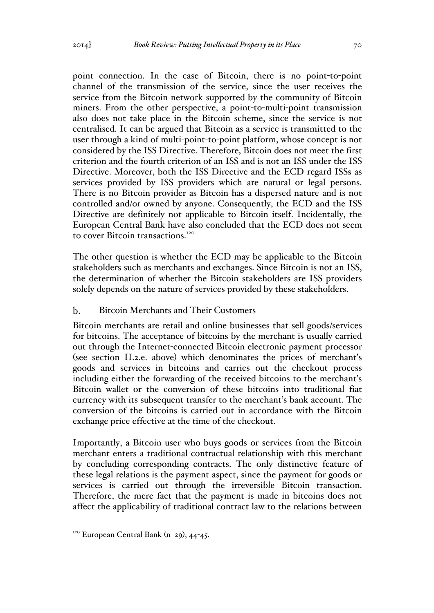point connection. In the case of Bitcoin, there is no point-to-point channel of the transmission of the service, since the user receives the service from the Bitcoin network supported by the community of Bitcoin miners. From the other perspective, a point-to-multi-point transmission also does not take place in the Bitcoin scheme, since the service is not centralised. It can be argued that Bitcoin as a service is transmitted to the user through a kind of multi-point-to-point platform, whose concept is not considered by the ISS Directive. Therefore, Bitcoin does not meet the first criterion and the fourth criterion of an ISS and is not an ISS under the ISS Directive. Moreover, both the ISS Directive and the ECD regard ISSs as services provided by ISS providers which are natural or legal persons. There is no Bitcoin provider as Bitcoin has a dispersed nature and is not controlled and/or owned by anyone. Consequently, the ECD and the ISS Directive are definitely not applicable to Bitcoin itself. Incidentally, the European Central Bank have also concluded that the ECD does not seem to cover Bitcoin transactions.<sup>120</sup>

The other question is whether the ECD may be applicable to the Bitcoin stakeholders such as merchants and exchanges. Since Bitcoin is not an ISS, the determination of whether the Bitcoin stakeholders are ISS providers solely depends on the nature of services provided by these stakeholders.

#### $h_{\cdot}$ Bitcoin Merchants and Their Customers

Bitcoin merchants are retail and online businesses that sell goods/services for bitcoins. The acceptance of bitcoins by the merchant is usually carried out through the Internet-connected Bitcoin electronic payment processor (see section II.2.e. above) which denominates the prices of merchant's goods and services in bitcoins and carries out the checkout process including either the forwarding of the received bitcoins to the merchant's Bitcoin wallet or the conversion of these bitcoins into traditional fiat currency with its subsequent transfer to the merchant's bank account. The conversion of the bitcoins is carried out in accordance with the Bitcoin exchange price effective at the time of the checkout.

Importantly, a Bitcoin user who buys goods or services from the Bitcoin merchant enters a traditional contractual relationship with this merchant by concluding corresponding contracts. The only distinctive feature of these legal relations is the payment aspect, since the payment for goods or services is carried out through the irreversible Bitcoin transaction. Therefore, the mere fact that the payment is made in bitcoins does not affect the applicability of traditional contract law to the relations between

 $120$  European Central Bank (n 29), 44-45.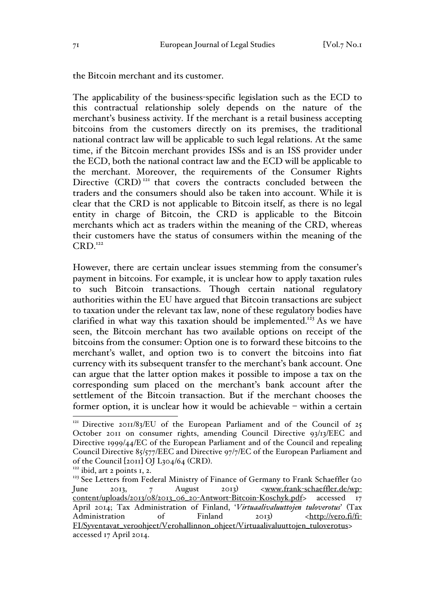the Bitcoin merchant and its customer.

The applicability of the business-specific legislation such as the ECD to this contractual relationship solely depends on the nature of the merchant's business activity. If the merchant is a retail business accepting bitcoins from the customers directly on its premises, the traditional national contract law will be applicable to such legal relations. At the same time, if the Bitcoin merchant provides ISSs and is an ISS provider under the ECD, both the national contract law and the ECD will be applicable to the merchant. Moreover, the requirements of the Consumer Rights Directive  $(CRD)^{121}$  that covers the contracts concluded between the traders and the consumers should also be taken into account. While it is clear that the CRD is not applicable to Bitcoin itself, as there is no legal entity in charge of Bitcoin, the CRD is applicable to the Bitcoin merchants which act as traders within the meaning of the CRD, whereas their customers have the status of consumers within the meaning of the  $CRD<sub>.122</sub>$ 

However, there are certain unclear issues stemming from the consumer's payment in bitcoins. For example, it is unclear how to apply taxation rules to such Bitcoin transactions. Though certain national regulatory authorities within the EU have argued that Bitcoin transactions are subject to taxation under the relevant tax law, none of these regulatory bodies have clarified in what way this taxation should be implemented.<sup>123</sup> As we have seen, the Bitcoin merchant has two available options on receipt of the bitcoins from the consumer: Option one is to forward these bitcoins to the merchant's wallet, and option two is to convert the bitcoins into fiat currency with its subsequent transfer to the merchant's bank account. One can argue that the latter option makes it possible to impose a tax on the corresponding sum placed on the merchant's bank account after the settlement of the Bitcoin transaction. But if the merchant chooses the former option, it is unclear how it would be achievable – within a certain

<sup>&</sup>lt;sup>121</sup> Directive 2011/83/EU of the European Parliament and of the Council of 25 October 2011 on consumer rights, amending Council Directive 93/13/EEC and Directive 1999/44/EC of the European Parliament and of the Council and repealing Council Directive 85/577/EEC and Directive 97/7/EC of the European Parliament and of the Council [2011] OJ L304/64 (CRD). <sup>122</sup> ibid, art 2 points 1, 2.

<sup>&</sup>lt;sup>123</sup> See Letters from Federal Ministry of Finance of Germany to Frank Schaeffler (20 June 2013, 7 August 2013) <www.frank-schaeffler.de/wpcontent/uploads/2013/08/2013\_06\_20-Antwort-Bitcoin-Koschyk.pdf> accessed 17 April 2014; Tax Administration of Finland, '*Virtuaalivaluuttojen tuloverotus*' (Tax Administration of Finland 2013) <http://vero.fi/fi-FI/Syventavat\_veroohjeet/Verohallinnon\_ohjeet/Virtuaalivaluuttojen\_tuloverotus> accessed 17 April 2014.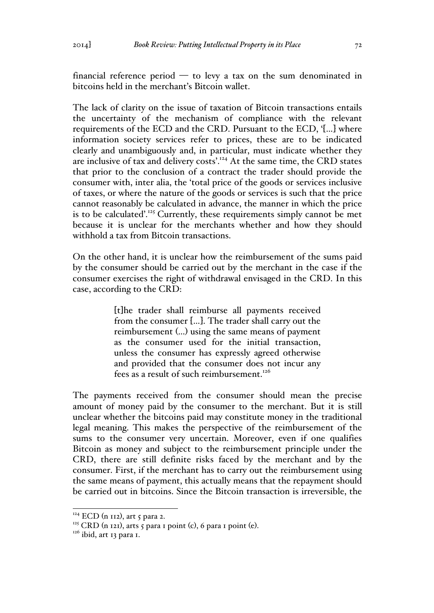financial reference period  $-$  to levy a tax on the sum denominated in bitcoins held in the merchant's Bitcoin wallet.

The lack of clarity on the issue of taxation of Bitcoin transactions entails the uncertainty of the mechanism of compliance with the relevant requirements of the ECD and the CRD. Pursuant to the ECD, '[…] where information society services refer to prices, these are to be indicated clearly and unambiguously and, in particular, must indicate whether they are inclusive of tax and delivery costs'.<sup>124</sup> At the same time, the CRD states that prior to the conclusion of a contract the trader should provide the consumer with, inter alia, the 'total price of the goods or services inclusive of taxes, or where the nature of the goods or services is such that the price cannot reasonably be calculated in advance, the manner in which the price is to be calculated'.<sup>125</sup> Currently, these requirements simply cannot be met because it is unclear for the merchants whether and how they should withhold a tax from Bitcoin transactions.

On the other hand, it is unclear how the reimbursement of the sums paid by the consumer should be carried out by the merchant in the case if the consumer exercises the right of withdrawal envisaged in the CRD. In this case, according to the CRD:

> [t]he trader shall reimburse all payments received from the consumer […]. The trader shall carry out the reimbursement (…) using the same means of payment as the consumer used for the initial transaction, unless the consumer has expressly agreed otherwise and provided that the consumer does not incur any fees as a result of such reimbursement.<sup>126</sup>

The payments received from the consumer should mean the precise amount of money paid by the consumer to the merchant. But it is still unclear whether the bitcoins paid may constitute money in the traditional legal meaning. This makes the perspective of the reimbursement of the sums to the consumer very uncertain. Moreover, even if one qualifies Bitcoin as money and subject to the reimbursement principle under the CRD, there are still definite risks faced by the merchant and by the consumer. First, if the merchant has to carry out the reimbursement using the same means of payment, this actually means that the repayment should be carried out in bitcoins. Since the Bitcoin transaction is irreversible, the

<sup>&</sup>lt;sup>124</sup> ECD (n 112), art 5 para 2.

<sup>&</sup>lt;sup>125</sup> CRD (n 121), arts 5 para 1 point (c), 6 para 1 point (e).<br><sup>126</sup> ibid, art 13 para 1.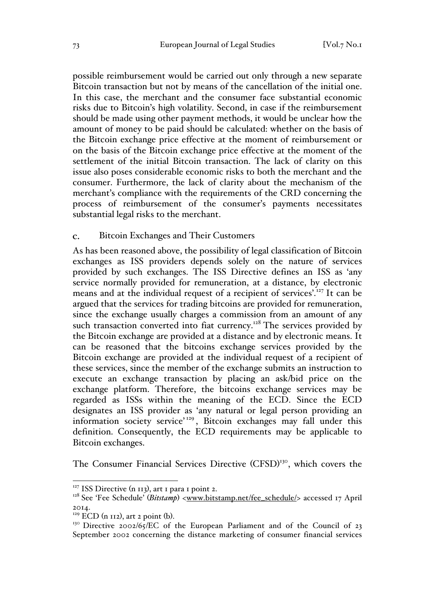possible reimbursement would be carried out only through a new separate Bitcoin transaction but not by means of the cancellation of the initial one. In this case, the merchant and the consumer face substantial economic risks due to Bitcoin's high volatility. Second, in case if the reimbursement should be made using other payment methods, it would be unclear how the amount of money to be paid should be calculated: whether on the basis of the Bitcoin exchange price effective at the moment of reimbursement or on the basis of the Bitcoin exchange price effective at the moment of the settlement of the initial Bitcoin transaction. The lack of clarity on this issue also poses considerable economic risks to both the merchant and the consumer. Furthermore, the lack of clarity about the mechanism of the merchant's compliance with the requirements of the CRD concerning the process of reimbursement of the consumer's payments necessitates substantial legal risks to the merchant.

#### Bitcoin Exchanges and Their Customers  $\mathbf{c}$ .

As has been reasoned above, the possibility of legal classification of Bitcoin exchanges as ISS providers depends solely on the nature of services provided by such exchanges. The ISS Directive defines an ISS as 'any service normally provided for remuneration, at a distance, by electronic means and at the individual request of a recipient of services'.<sup>127</sup> It can be argued that the services for trading bitcoins are provided for remuneration, since the exchange usually charges a commission from an amount of any such transaction converted into fiat currency.<sup>128</sup> The services provided by the Bitcoin exchange are provided at a distance and by electronic means. It can be reasoned that the bitcoins exchange services provided by the Bitcoin exchange are provided at the individual request of a recipient of these services, since the member of the exchange submits an instruction to execute an exchange transaction by placing an ask/bid price on the exchange platform. Therefore, the bitcoins exchange services may be regarded as ISSs within the meaning of the ECD. Since the ECD designates an ISS provider as 'any natural or legal person providing an information society service'<sup>129</sup>, Bitcoin exchanges may fall under this definition. Consequently, the ECD requirements may be applicable to Bitcoin exchanges.

The Consumer Financial Services Directive (CFSD)<sup>130</sup>, which covers the

 $127$  ISS Directive (n 113), art 1 para 1 point 2.

<sup>&</sup>lt;sup>128</sup> See 'Fee Schedule' (*Bitstamp*) <www.bitstamp.net/fee\_schedule/> accessed 17 April

<sup>2014.&</sup>lt;br><sup>129</sup> ECD (n 112), art 2 point (b).

<sup>&</sup>lt;sup>130</sup> Directive 2002/65/EC of the European Parliament and of the Council of 23 September 2002 concerning the distance marketing of consumer financial services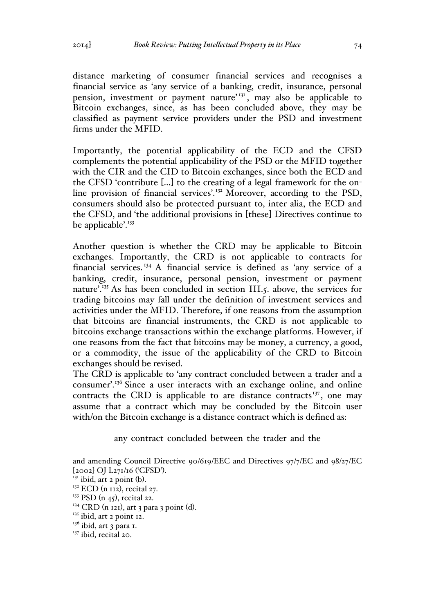distance marketing of consumer financial services and recognises a financial service as 'any service of a banking, credit, insurance, personal pension, investment or payment nature'<sup>131</sup>, may also be applicable to Bitcoin exchanges, since, as has been concluded above, they may be classified as payment service providers under the PSD and investment firms under the MFID.

Importantly, the potential applicability of the ECD and the CFSD complements the potential applicability of the PSD or the MFID together with the CIR and the CID to Bitcoin exchanges, since both the ECD and the CFSD 'contribute […] to the creating of a legal framework for the online provision of financial services'.<sup>132</sup> Moreover, according to the PSD, consumers should also be protected pursuant to, inter alia, the ECD and the CFSD, and 'the additional provisions in [these] Directives continue to be applicable'. $133$ 

Another question is whether the CRD may be applicable to Bitcoin exchanges. Importantly, the CRD is not applicable to contracts for financial services. <sup>134</sup> A financial service is defined as 'any service of a banking, credit, insurance, personal pension, investment or payment nature'.<sup>135</sup> As has been concluded in section III.5. above, the services for trading bitcoins may fall under the definition of investment services and activities under the MFID. Therefore, if one reasons from the assumption that bitcoins are financial instruments, the CRD is not applicable to bitcoins exchange transactions within the exchange platforms. However, if one reasons from the fact that bitcoins may be money, a currency, a good, or a commodity, the issue of the applicability of the CRD to Bitcoin exchanges should be revised.

The CRD is applicable to 'any contract concluded between a trader and a consumer'.<sup>136</sup> Since a user interacts with an exchange online, and online contracts the CRD is applicable to are distance contracts<sup>137</sup>, one may assume that a contract which may be concluded by the Bitcoin user with/on the Bitcoin exchange is a distance contract which is defined as:

any contract concluded between the trader and the

and amending Council Directive 90/619/EEC and Directives 97/7/EC and 98/27/EC [2002] OJ L271/16 ('CFSD').

<sup>&</sup>lt;sup>131</sup> ibid, art 2 point (b).<br><sup>132</sup> ECD (n 112), recital 27.

 $133$  PSD (n 45), recital 22.

<sup>&</sup>lt;sup>134</sup> CRD (n 121), art 3 para 3 point (d).<br><sup>135</sup> ibid, art 2 point 12.

 $136$  ibid, art 3 para 1.

<sup>&</sup>lt;sup>137</sup> ibid, recital 20.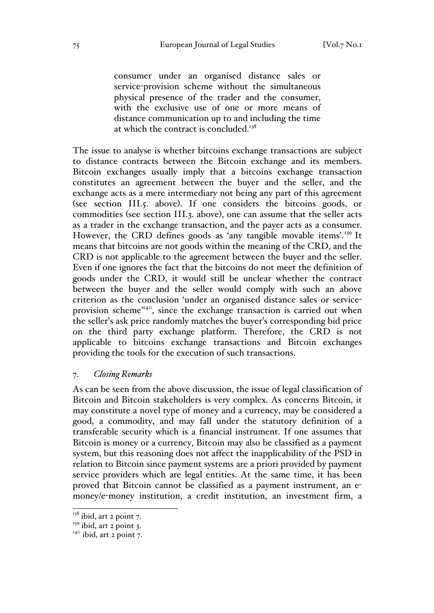consumer under an organised distance sales or service-provision scheme without the simultaneous physical presence of the trader and the consumer, with the exclusive use of one or more means of distance communication up to and including the time at which the contract is concluded.<sup>138</sup>

The issue to analyse is whether bitcoins exchange transactions are subject to distance contracts between the Bitcoin exchange and its members. Bitcoin exchanges usually imply that a bitcoins exchange transaction constitutes an agreement between the buyer and the seller, and the exchange acts as a mere intermediary not being any part of this agreement (see section III.5. above). If one considers the bitcoins goods, or commodities (see section III.3. above), one can assume that the seller acts as a trader in the exchange transaction, and the payer acts as a consumer. However, the CRD defines goods as 'any tangible movable items'.<sup>139</sup> It means that bitcoins are not goods within the meaning of the CRD, and the CRD is not applicable to the agreement between the buyer and the seller. Even if one ignores the fact that the bitcoins do not meet the definition of goods under the CRD, it would still be unclear whether the contract between the buyer and the seller would comply with such an above criterion as the conclusion 'under an organised distance sales or serviceprovision scheme<sup>'140</sup>, since the exchange transaction is carried out when the seller's ask price randomly matches the buyer's corresponding bid price on the third party exchange platform. Therefore, the CRD is not applicable to bitcoins exchange transactions and Bitcoin exchanges providing the tools for the execution of such transactions.

### 7. *Closing Remarks*

As can be seen from the above discussion, the issue of legal classification of Bitcoin and Bitcoin stakeholders is very complex. As concerns Bitcoin, it may constitute a novel type of money and a currency, may be considered a good, a commodity, and may fall under the statutory definition of a transferable security which is a financial instrument. If one assumes that Bitcoin is money or a currency, Bitcoin may also be classified as a payment system, but this reasoning does not affect the inapplicability of the PSD in relation to Bitcoin since payment systems are a priori provided by payment service providers which are legal entities. At the same time, it has been proved that Bitcoin cannot be classified as a payment instrument, an emoney/e-money institution, a credit institution, an investment firm, a

 $138$  ibid, art 2 point 7.

 $139$  ibid, art 2 point 3.

 $140$  ibid, art 2 point 7.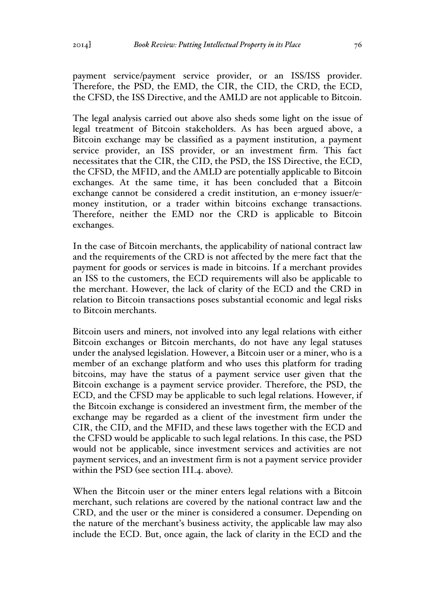payment service/payment service provider, or an ISS/ISS provider. Therefore, the PSD, the EMD, the CIR, the CID, the CRD, the ECD, the CFSD, the ISS Directive, and the AMLD are not applicable to Bitcoin.

The legal analysis carried out above also sheds some light on the issue of legal treatment of Bitcoin stakeholders. As has been argued above, a Bitcoin exchange may be classified as a payment institution, a payment service provider, an ISS provider, or an investment firm. This fact necessitates that the CIR, the CID, the PSD, the ISS Directive, the ECD, the CFSD, the MFID, and the AMLD are potentially applicable to Bitcoin exchanges. At the same time, it has been concluded that a Bitcoin exchange cannot be considered a credit institution, an e-money issuer/emoney institution, or a trader within bitcoins exchange transactions. Therefore, neither the EMD nor the CRD is applicable to Bitcoin exchanges.

In the case of Bitcoin merchants, the applicability of national contract law and the requirements of the CRD is not affected by the mere fact that the payment for goods or services is made in bitcoins. If a merchant provides an ISS to the customers, the ECD requirements will also be applicable to the merchant. However, the lack of clarity of the ECD and the CRD in relation to Bitcoin transactions poses substantial economic and legal risks to Bitcoin merchants.

Bitcoin users and miners, not involved into any legal relations with either Bitcoin exchanges or Bitcoin merchants, do not have any legal statuses under the analysed legislation. However, a Bitcoin user or a miner, who is a member of an exchange platform and who uses this platform for trading bitcoins, may have the status of a payment service user given that the Bitcoin exchange is a payment service provider. Therefore, the PSD, the ECD, and the CFSD may be applicable to such legal relations. However, if the Bitcoin exchange is considered an investment firm, the member of the exchange may be regarded as a client of the investment firm under the CIR, the CID, and the MFID, and these laws together with the ECD and the CFSD would be applicable to such legal relations. In this case, the PSD would not be applicable, since investment services and activities are not payment services, and an investment firm is not a payment service provider within the PSD (see section III.4. above).

When the Bitcoin user or the miner enters legal relations with a Bitcoin merchant, such relations are covered by the national contract law and the CRD, and the user or the miner is considered a consumer. Depending on the nature of the merchant's business activity, the applicable law may also include the ECD. But, once again, the lack of clarity in the ECD and the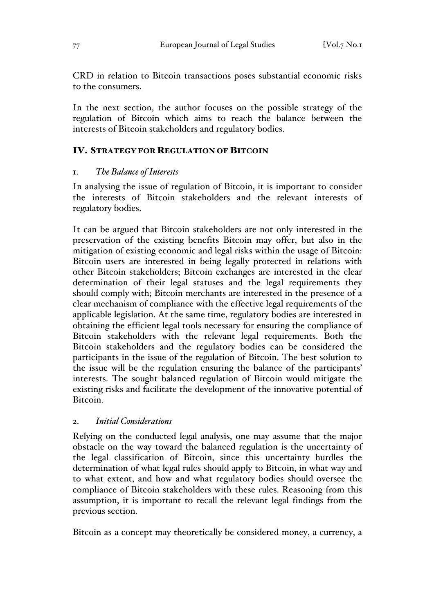CRD in relation to Bitcoin transactions poses substantial economic risks to the consumers.

In the next section, the author focuses on the possible strategy of the regulation of Bitcoin which aims to reach the balance between the interests of Bitcoin stakeholders and regulatory bodies.

## IV. STRATEGY FOR REGULATION OF BITCOIN

## 1. *The Balance of Interests*

In analysing the issue of regulation of Bitcoin, it is important to consider the interests of Bitcoin stakeholders and the relevant interests of regulatory bodies.

It can be argued that Bitcoin stakeholders are not only interested in the preservation of the existing benefits Bitcoin may offer, but also in the mitigation of existing economic and legal risks within the usage of Bitcoin: Bitcoin users are interested in being legally protected in relations with other Bitcoin stakeholders; Bitcoin exchanges are interested in the clear determination of their legal statuses and the legal requirements they should comply with; Bitcoin merchants are interested in the presence of a clear mechanism of compliance with the effective legal requirements of the applicable legislation. At the same time, regulatory bodies are interested in obtaining the efficient legal tools necessary for ensuring the compliance of Bitcoin stakeholders with the relevant legal requirements. Both the Bitcoin stakeholders and the regulatory bodies can be considered the participants in the issue of the regulation of Bitcoin. The best solution to the issue will be the regulation ensuring the balance of the participants' interests. The sought balanced regulation of Bitcoin would mitigate the existing risks and facilitate the development of the innovative potential of Bitcoin.

## 2. *Initial Considerations*

Relying on the conducted legal analysis, one may assume that the major obstacle on the way toward the balanced regulation is the uncertainty of the legal classification of Bitcoin, since this uncertainty hurdles the determination of what legal rules should apply to Bitcoin, in what way and to what extent, and how and what regulatory bodies should oversee the compliance of Bitcoin stakeholders with these rules. Reasoning from this assumption, it is important to recall the relevant legal findings from the previous section.

Bitcoin as a concept may theoretically be considered money, a currency, a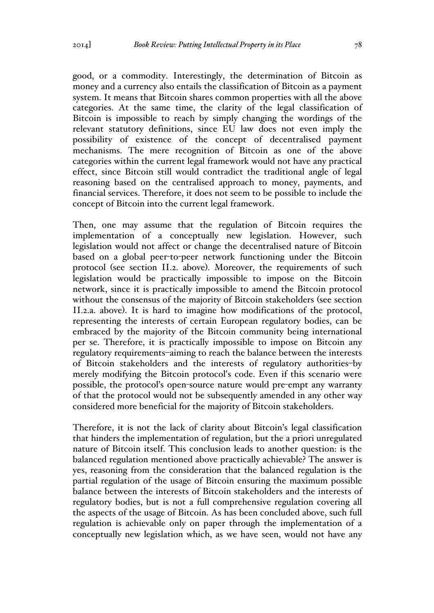good, or a commodity. Interestingly, the determination of Bitcoin as money and a currency also entails the classification of Bitcoin as a payment system. It means that Bitcoin shares common properties with all the above categories. At the same time, the clarity of the legal classification of Bitcoin is impossible to reach by simply changing the wordings of the relevant statutory definitions, since EU law does not even imply the possibility of existence of the concept of decentralised payment mechanisms. The mere recognition of Bitcoin as one of the above categories within the current legal framework would not have any practical effect, since Bitcoin still would contradict the traditional angle of legal reasoning based on the centralised approach to money, payments, and financial services. Therefore, it does not seem to be possible to include the concept of Bitcoin into the current legal framework.

Then, one may assume that the regulation of Bitcoin requires the implementation of a conceptually new legislation. However, such legislation would not affect or change the decentralised nature of Bitcoin based on a global peer-to-peer network functioning under the Bitcoin protocol (see section II.2. above). Moreover, the requirements of such legislation would be practically impossible to impose on the Bitcoin network, since it is practically impossible to amend the Bitcoin protocol without the consensus of the majority of Bitcoin stakeholders (see section II.2.a. above). It is hard to imagine how modifications of the protocol, representing the interests of certain European regulatory bodies, can be embraced by the majority of the Bitcoin community being international per se. Therefore, it is practically impossible to impose on Bitcoin any regulatory requirements–aiming to reach the balance between the interests of Bitcoin stakeholders and the interests of regulatory authorities–by merely modifying the Bitcoin protocol's code. Even if this scenario were possible, the protocol's open-source nature would pre-empt any warranty of that the protocol would not be subsequently amended in any other way considered more beneficial for the majority of Bitcoin stakeholders.

Therefore, it is not the lack of clarity about Bitcoin's legal classification that hinders the implementation of regulation, but the a priori unregulated nature of Bitcoin itself. This conclusion leads to another question: is the balanced regulation mentioned above practically achievable? The answer is yes, reasoning from the consideration that the balanced regulation is the partial regulation of the usage of Bitcoin ensuring the maximum possible balance between the interests of Bitcoin stakeholders and the interests of regulatory bodies, but is not a full comprehensive regulation covering all the aspects of the usage of Bitcoin. As has been concluded above, such full regulation is achievable only on paper through the implementation of a conceptually new legislation which, as we have seen, would not have any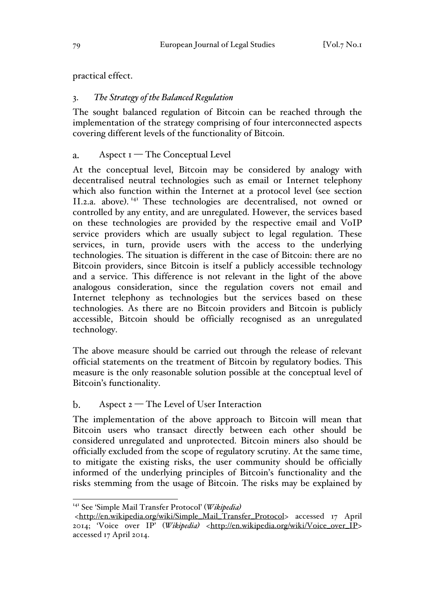practical effect.

# 3. *The Strategy of the Balanced Regulation*

The sought balanced regulation of Bitcoin can be reached through the implementation of the strategy comprising of four interconnected aspects covering different levels of the functionality of Bitcoin.

#### $\mathbf{a}$ . Aspect  $I$  – The Conceptual Level

At the conceptual level, Bitcoin may be considered by analogy with decentralised neutral technologies such as email or Internet telephony which also function within the Internet at a protocol level (see section II.2.a. above).<sup>141</sup> These technologies are decentralised, not owned or controlled by any entity, and are unregulated. However, the services based on these technologies are provided by the respective email and VoIP service providers which are usually subject to legal regulation. These services, in turn, provide users with the access to the underlying technologies. The situation is different in the case of Bitcoin: there are no Bitcoin providers, since Bitcoin is itself a publicly accessible technology and a service. This difference is not relevant in the light of the above analogous consideration, since the regulation covers not email and Internet telephony as technologies but the services based on these technologies. As there are no Bitcoin providers and Bitcoin is publicly accessible, Bitcoin should be officially recognised as an unregulated technology.

The above measure should be carried out through the release of relevant official statements on the treatment of Bitcoin by regulatory bodies. This measure is the only reasonable solution possible at the conceptual level of Bitcoin's functionality.

### $\mathbf{b}$ . Aspect 2 — The Level of User Interaction

The implementation of the above approach to Bitcoin will mean that Bitcoin users who transact directly between each other should be considered unregulated and unprotected. Bitcoin miners also should be officially excluded from the scope of regulatory scrutiny. At the same time, to mitigate the existing risks, the user community should be officially informed of the underlying principles of Bitcoin's functionality and the risks stemming from the usage of Bitcoin. The risks may be explained by

 <sup>141</sup> See 'Simple Mail Transfer Protocol' (*Wikipedia)*

<sup>&</sup>lt;http://en.wikipedia.org/wiki/Simple\_Mail\_Transfer\_Protocol> accessed 17 April 2014; 'Voice over IP' (*Wikipedia)* <http://en.wikipedia.org/wiki/Voice\_over\_IP> accessed 17 April 2014.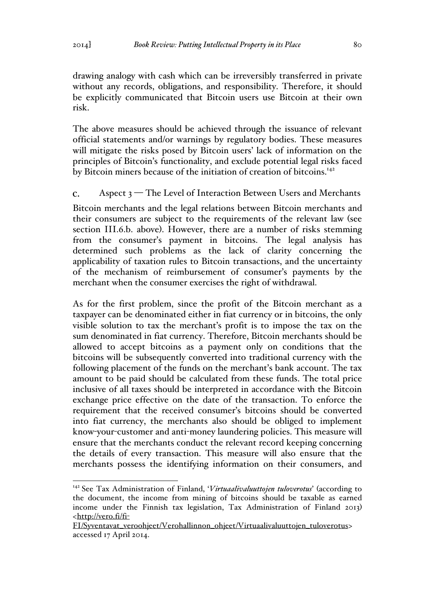drawing analogy with cash which can be irreversibly transferred in private without any records, obligations, and responsibility. Therefore, it should be explicitly communicated that Bitcoin users use Bitcoin at their own risk.

The above measures should be achieved through the issuance of relevant official statements and/or warnings by regulatory bodies. These measures will mitigate the risks posed by Bitcoin users' lack of information on the principles of Bitcoin's functionality, and exclude potential legal risks faced by Bitcoin miners because of the initiation of creation of bitcoins.<sup>142</sup>

### Aspect 3 — The Level of Interaction Between Users and Merchants  $\mathbf{C}$ .

Bitcoin merchants and the legal relations between Bitcoin merchants and their consumers are subject to the requirements of the relevant law (see section III.6.b. above). However, there are a number of risks stemming from the consumer's payment in bitcoins. The legal analysis has determined such problems as the lack of clarity concerning the applicability of taxation rules to Bitcoin transactions, and the uncertainty of the mechanism of reimbursement of consumer's payments by the merchant when the consumer exercises the right of withdrawal.

As for the first problem, since the profit of the Bitcoin merchant as a taxpayer can be denominated either in fiat currency or in bitcoins, the only visible solution to tax the merchant's profit is to impose the tax on the sum denominated in fiat currency. Therefore, Bitcoin merchants should be allowed to accept bitcoins as a payment only on conditions that the bitcoins will be subsequently converted into traditional currency with the following placement of the funds on the merchant's bank account. The tax amount to be paid should be calculated from these funds. The total price inclusive of all taxes should be interpreted in accordance with the Bitcoin exchange price effective on the date of the transaction. To enforce the requirement that the received consumer's bitcoins should be converted into fiat currency, the merchants also should be obliged to implement know-your-customer and anti-money laundering policies. This measure will ensure that the merchants conduct the relevant record keeping concerning the details of every transaction. This measure will also ensure that the merchants possess the identifying information on their consumers, and

 <sup>142</sup> See Tax Administration of Finland, '*Virtuaalivaluuttojen tuloverotus*' (according to the document, the income from mining of bitcoins should be taxable as earned income under the Finnish tax legislation, Tax Administration of Finland 2013) <http://vero.fi/fi-

FI/Syventavat\_veroohjeet/Verohallinnon\_ohjeet/Virtuaalivaluuttojen\_tuloverotus> accessed 17 April 2014.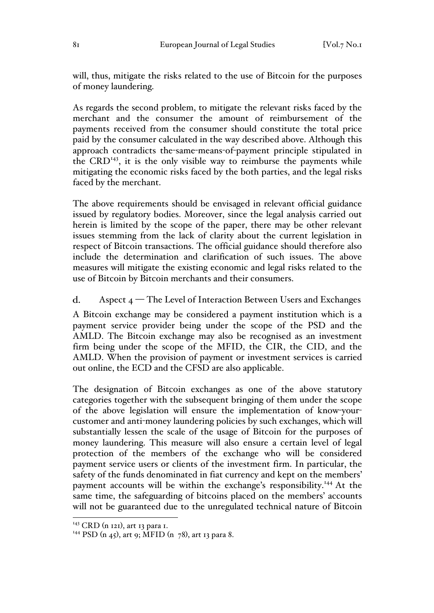will, thus, mitigate the risks related to the use of Bitcoin for the purposes of money laundering.

As regards the second problem, to mitigate the relevant risks faced by the merchant and the consumer the amount of reimbursement of the payments received from the consumer should constitute the total price paid by the consumer calculated in the way described above. Although this approach contradicts the-same-means-of-payment principle stipulated in the  $CRD<sup>143</sup>$ , it is the only visible way to reimburse the payments while mitigating the economic risks faced by the both parties, and the legal risks faced by the merchant.

The above requirements should be envisaged in relevant official guidance issued by regulatory bodies. Moreover, since the legal analysis carried out herein is limited by the scope of the paper, there may be other relevant issues stemming from the lack of clarity about the current legislation in respect of Bitcoin transactions. The official guidance should therefore also include the determination and clarification of such issues. The above measures will mitigate the existing economic and legal risks related to the use of Bitcoin by Bitcoin merchants and their consumers.

 $\mathbf{d}$ . Aspect  $4$  – The Level of Interaction Between Users and Exchanges

A Bitcoin exchange may be considered a payment institution which is a payment service provider being under the scope of the PSD and the AMLD. The Bitcoin exchange may also be recognised as an investment firm being under the scope of the MFID, the CIR, the CID, and the AMLD. When the provision of payment or investment services is carried out online, the ECD and the CFSD are also applicable.

The designation of Bitcoin exchanges as one of the above statutory categories together with the subsequent bringing of them under the scope of the above legislation will ensure the implementation of know-yourcustomer and anti-money laundering policies by such exchanges, which will substantially lessen the scale of the usage of Bitcoin for the purposes of money laundering. This measure will also ensure a certain level of legal protection of the members of the exchange who will be considered payment service users or clients of the investment firm. In particular, the safety of the funds denominated in fiat currency and kept on the members' payment accounts will be within the exchange's responsibility.<sup>144</sup> At the same time, the safeguarding of bitcoins placed on the members' accounts will not be guaranteed due to the unregulated technical nature of Bitcoin

 $143$  CRD (n 121), art 13 para 1.

<sup>&</sup>lt;sup>144</sup> PSD (n 45), art 9; MFID (n 78), art 13 para 8.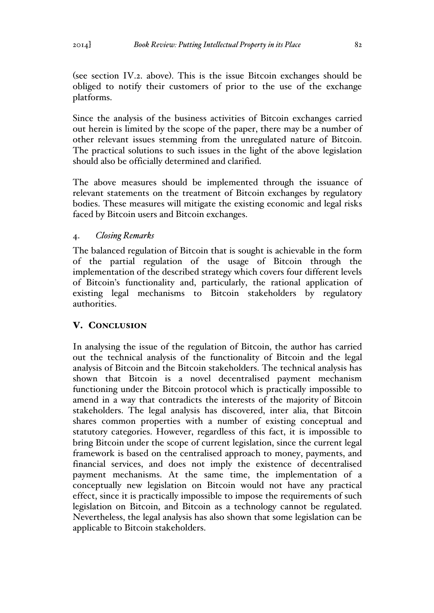(see section IV.2. above). This is the issue Bitcoin exchanges should be obliged to notify their customers of prior to the use of the exchange platforms.

Since the analysis of the business activities of Bitcoin exchanges carried out herein is limited by the scope of the paper, there may be a number of other relevant issues stemming from the unregulated nature of Bitcoin. The practical solutions to such issues in the light of the above legislation should also be officially determined and clarified.

The above measures should be implemented through the issuance of relevant statements on the treatment of Bitcoin exchanges by regulatory bodies. These measures will mitigate the existing economic and legal risks faced by Bitcoin users and Bitcoin exchanges.

# 4. *Closing Remarks*

The balanced regulation of Bitcoin that is sought is achievable in the form of the partial regulation of the usage of Bitcoin through the implementation of the described strategy which covers four different levels of Bitcoin's functionality and, particularly, the rational application of existing legal mechanisms to Bitcoin stakeholders by regulatory authorities.

# V. CONCLUSION

In analysing the issue of the regulation of Bitcoin, the author has carried out the technical analysis of the functionality of Bitcoin and the legal analysis of Bitcoin and the Bitcoin stakeholders. The technical analysis has shown that Bitcoin is a novel decentralised payment mechanism functioning under the Bitcoin protocol which is practically impossible to amend in a way that contradicts the interests of the majority of Bitcoin stakeholders. The legal analysis has discovered, inter alia, that Bitcoin shares common properties with a number of existing conceptual and statutory categories. However, regardless of this fact, it is impossible to bring Bitcoin under the scope of current legislation, since the current legal framework is based on the centralised approach to money, payments, and financial services, and does not imply the existence of decentralised payment mechanisms. At the same time, the implementation of a conceptually new legislation on Bitcoin would not have any practical effect, since it is practically impossible to impose the requirements of such legislation on Bitcoin, and Bitcoin as a technology cannot be regulated. Nevertheless, the legal analysis has also shown that some legislation can be applicable to Bitcoin stakeholders.